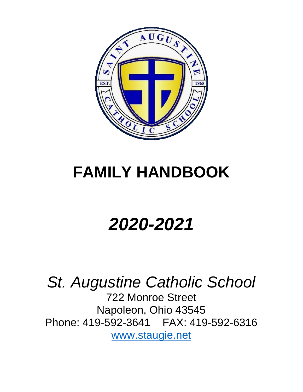

# **FAMILY HANDBOOK**

# *2020-2021*

*St. Augustine Catholic School* 722 Monroe Street Napoleon, Ohio 43545 Phone: 419-592-3641 FAX: 419-592-6316 [www.staugie.net](http://www.staugie.net/)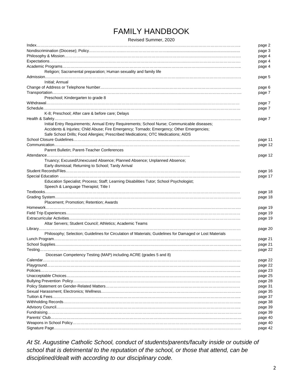# FAMILY HANDBOOK

Revised Summer, 2020

|                                                                                                          | page 2  |
|----------------------------------------------------------------------------------------------------------|---------|
|                                                                                                          | page 3  |
|                                                                                                          | page 4  |
|                                                                                                          | page 4  |
|                                                                                                          | page 4  |
| Religion; Sacramental preparation; Human sexuality and family life                                       |         |
|                                                                                                          | page 5  |
| Initial: Annual                                                                                          |         |
|                                                                                                          | page 6  |
|                                                                                                          | page 7  |
| Preschool; Kindergarten to grade 8                                                                       |         |
|                                                                                                          | page 7  |
|                                                                                                          |         |
| K-8; Preschool; After care & before care; Delays                                                         | page 7  |
|                                                                                                          |         |
|                                                                                                          | page 7  |
| Initial Entry Requirements; Annual Entry Requirements; School Nurse; Communicable diseases;              |         |
| Accidents & Injuries; Child Abuse; Fire Emergency; Tornado; Emergency; Other Emergencies;                |         |
| Safe School Drills; Food Allergies; Prescribed Medications; OTC Medications; AIDS                        |         |
|                                                                                                          | page 11 |
|                                                                                                          | page 12 |
| Parent Bulletin; Parent-Teacher Conferences                                                              |         |
|                                                                                                          | page 12 |
| Truancy; Excused/Unexcused Absence; Planned Absence; Unplanned Absence;                                  |         |
| Early dismissal; Returning to School; Tardy Arrival                                                      |         |
|                                                                                                          | page 16 |
|                                                                                                          | page 17 |
| Education Specialist; Process; Staff; Learning Disabilities Tutor; School Psychologist;                  |         |
| Speech & Language Therapist; Title I                                                                     |         |
|                                                                                                          | page 18 |
|                                                                                                          | page 18 |
| Placement; Promotion; Retention; Awards                                                                  |         |
|                                                                                                          | page 19 |
|                                                                                                          | page 19 |
|                                                                                                          | page 19 |
| Altar Servers; Student Council; Athletics; Academic Teams                                                |         |
|                                                                                                          | page 20 |
| Philosophy; Selection; Guidelines for Circulation of Materials; Guidelines for Damaged or Lost Materials |         |
|                                                                                                          | page 21 |
|                                                                                                          |         |
|                                                                                                          | page 21 |
|                                                                                                          | page 22 |
| Diocesan Competency Testing (MAP) including ACRE (grades 5 and 8)                                        |         |
|                                                                                                          | page 22 |
|                                                                                                          | page 22 |
|                                                                                                          | page 23 |
|                                                                                                          | page 25 |
|                                                                                                          | page 28 |
|                                                                                                          | page 31 |
|                                                                                                          | page 35 |
|                                                                                                          | page 37 |
|                                                                                                          | page 38 |
|                                                                                                          | page 39 |
|                                                                                                          | page 39 |
|                                                                                                          | page 40 |
|                                                                                                          | page 40 |
|                                                                                                          | page 42 |
|                                                                                                          |         |

*At St. Augustine Catholic School, conduct of students/parents/faculty inside or outside of school that is detrimental to the reputation of the school, or those that attend, can be disciplined/dealt with according to our disciplinary code.*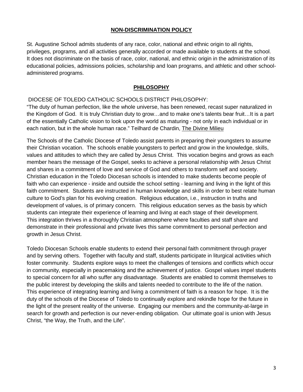#### **NON-DISCRIMINATION POLICY**

St. Augustine School admits students of any race, color, national and ethnic origin to all rights, privileges, programs, and all activities generally accorded or made available to students at the school. It does not discriminate on the basis of race, color, national, and ethnic origin in the administration of its educational policies, admissions policies, scholarship and loan programs, and athletic and other schooladministered programs.

#### **PHILOSOPHY**

#### DIOCESE OF TOLEDO CATHOLIC SCHOOLS DISTRICT PHILOSOPHY:

"The duty of human perfection, like the whole universe, has been renewed, recast super naturalized in the Kingdom of God. It is truly Christian duty to grow…and to make one's talents bear fruit…It is a part of the essentially Catholic vision to look upon the world as maturing - not only in each individual or in each nation, but in the whole human race." Teilhard de Chardin, The Divine Milieu

The Schools of the Catholic Diocese of Toledo assist parents in preparing their youngsters to assume their Christian vocation. The schools enable youngsters to perfect and grow in the knowledge, skills, values and attitudes to which they are called by Jesus Christ. This vocation begins and grows as each member hears the message of the Gospel, seeks to achieve a personal relationship with Jesus Christ and shares in a commitment of love and service of God and others to transform self and society. Christian education in the Toledo Diocesan schools is intended to make students become people of faith who can experience - inside and outside the school setting - learning and living in the light of this faith commitment. Students are instructed in human knowledge and skills in order to best relate human culture to God's plan for his evolving creation. Religious education, i.e., instruction in truths and development of values, is of primary concern. This religious education serves as the basis by which students can integrate their experience of learning and living at each stage of their development. This integration thrives in a thoroughly Christian atmosphere where faculties and staff share and demonstrate in their professional and private lives this same commitment to personal perfection and growth in Jesus Christ.

Toledo Diocesan Schools enable students to extend their personal faith commitment through prayer and by serving others. Together with faculty and staff, students participate in liturgical activities which foster community. Students explore ways to meet the challenges of tensions and conflicts which occur in community, especially in peacemaking and the achievement of justice. Gospel values impel students to special concern for all who suffer any disadvantage. Students are enabled to commit themselves to the public interest by developing the skills and talents needed to contribute to the life of the nation. This experience of integrating learning and living a commitment of faith is a reason for hope. It is the duty of the schools of the Diocese of Toledo to continually explore and rekindle hope for the future in the light of the present reality of the universe. Engaging our members and the community-at-large in search for growth and perfection is our never-ending obligation. Our ultimate goal is union with Jesus Christ, "the Way, the Truth, and the Life".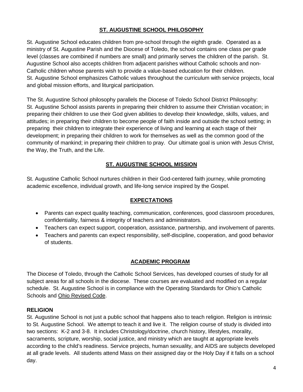# **ST. AUGUSTINE SCHOOL PHILOSOPHY**

St. Augustine School educates children from pre-school through the eighth grade. Operated as a ministry of St. Augustine Parish and the Diocese of Toledo, the school contains one class per grade level (classes are combined if numbers are small) and primarily serves the children of the parish. St. Augustine School also accepts children from adjacent parishes without Catholic schools and non-Catholic children whose parents wish to provide a value-based education for their children. St. Augustine School emphasizes Catholic values throughout the curriculum with service projects, local and global mission efforts, and liturgical participation.

The St. Augustine School philosophy parallels the Diocese of Toledo School District Philosophy: St. Augustine School assists parents in preparing their children to assume their Christian vocation; in preparing their children to use their God given abilities to develop their knowledge, skills, values, and attitudes; in preparing their children to become people of faith inside and outside the school setting; in preparing their children to integrate their experience of living and learning at each stage of their development; in preparing their children to work for themselves as well as the common good of the community of mankind; in preparing their children to pray. Our ultimate goal is union with Jesus Christ, the Way, the Truth, and the Life.

# **ST. AUGUSTINE SCHOOL MISSION**

St. Augustine Catholic School nurtures children in their God-centered faith journey, while promoting academic excellence, individual growth, and life-long service inspired by the Gospel.

# **EXPECTATIONS**

- Parents can expect quality teaching, communication, conferences, good classroom procedures, confidentiality, fairness & integrity of teachers and administrators.
- Teachers can expect support, cooperation, assistance, partnership, and involvement of parents.
- Teachers and parents can expect responsibility, self-discipline, cooperation, and good behavior of students.

# **ACADEMIC PROGRAM**

The Diocese of Toledo, through the Catholic School Services, has developed courses of study for all subject areas for all schools in the diocese. These courses are evaluated and modified on a regular schedule. St. Augustine School is in compliance with the Operating Standards for Ohio's Catholic Schools and Ohio Revised Code.

# **RELIGION**

St. Augustine School is not just a public school that happens also to teach religion. Religion is intrinsic to St. Augustine School. We attempt to teach it and live it. The religion course of study is divided into two sections: K-2 and 3-8. It includes Christology/doctrine, church history, lifestyles, morality, sacraments, scripture, worship, social justice, and ministry which are taught at appropriate levels according to the child's readiness. Service projects, human sexuality, and AIDS are subjects developed at all grade levels. All students attend Mass on their assigned day or the Holy Day if it falls on a school day.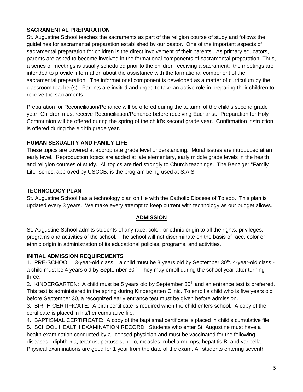# **SACRAMENTAL PREPARATION**

St. Augustine School teaches the sacraments as part of the religion course of study and follows the guidelines for sacramental preparation established by our pastor. One of the important aspects of sacramental preparation for children is the direct involvement of their parents. As primary educators, parents are asked to become involved in the formational components of sacramental preparation. Thus, a series of meetings is usually scheduled prior to the children receiving a sacrament: the meetings are intended to provide information about the assistance with the formational component of the sacramental preparation. The informational component is developed as a matter of curriculum by the classroom teacher(s). Parents are invited and urged to take an active role in preparing their children to receive the sacraments.

Preparation for Reconciliation/Penance will be offered during the autumn of the child's second grade year. Children must receive Reconciliation/Penance before receiving Eucharist. Preparation for Holy Communion will be offered during the spring of the child's second grade year. Confirmation instruction is offered during the eighth grade year.

# **HUMAN SEXUALITY AND FAMILY LIFE**

These topics are covered at appropriate grade level understanding. Moral issues are introduced at an early level. Reproduction topics are added at late elementary, early middle grade levels in the health and religion courses of study. All topics are tied strongly to Church teachings. The Benziger "Family Life" series, approved by USCCB, is the program being used at S.A.S.

# **TECHNOLOGY PLAN**

St. Augustine School has a technology plan on file with the Catholic Diocese of Toledo. This plan is updated every 3 years. We make every attempt to keep current with technology as our budget allows.

# **ADMISSION**

St. Augustine School admits students of any race, color, or ethnic origin to all the rights, privileges, programs and activities of the school. The school will not discriminate on the basis of race, color or ethnic origin in administration of its educational policies, programs, and activities.

# **INITIAL ADMISSION REQUIREMENTS**

1. PRE-SCHOOL: 3-year-old class  $-$  a child must be 3 years old by September  $30<sup>th</sup>$ . 4-year-old class a child must be 4 years old by September  $30<sup>th</sup>$ . They may enroll during the school year after turning three.

2. KINDERGARTEN: A child must be 5 years old by September 30<sup>th</sup> and an entrance test is preferred. This test is administered in the spring during Kindergarten Clinic. To enroll a child who is five years old before September 30, a recognized early entrance test must be given before admission.

3. BIRTH CERTIFICATE: A birth certificate is required when the child enters school. A copy of the certificate is placed in his/her cumulative file.

4. BAPTISMAL CERTIFICATE: A copy of the baptismal certificate is placed in child's cumulative file.

5. SCHOOL HEALTH EXAMINATION RECORD: Students who enter St. Augustine must have a health examination conducted by a licensed physician and must be vaccinated for the following diseases: diphtheria, tetanus, pertussis, polio, measles, rubella mumps, hepatitis B, and varicella. Physical examinations are good for 1 year from the date of the exam. All students entering seventh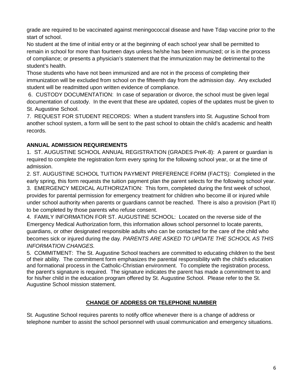grade are required to be vaccinated against meningococcal disease and have Tdap vaccine prior to the start of school.

No student at the time of initial entry or at the beginning of each school year shall be permitted to remain in school for more than fourteen days unless he/she has been immunized; or is in the process of compliance; or presents a physician's statement that the immunization may be detrimental to the student's health.

Those students who have not been immunized and are not in the process of completing their immunization will be excluded from school on the fifteenth day from the admission day. Any excluded student will be readmitted upon written evidence of compliance.

6. CUSTODY DOCUMENTATION: In case of separation or divorce, the school must be given legal documentation of custody. In the event that these are updated, copies of the updates must be given to St. Augustine School.

7. REQUEST FOR STUDENT RECORDS: When a student transfers into St. Augustine School from another school system, a form will be sent to the past school to obtain the child's academic and health records.

# **ANNUAL ADMISSION REQUIREMENTS**

1. ST. AUGUSTINE SCHOOL ANNUAL REGISTRATION (GRADES PreK-8): A parent or guardian is required to complete the registration form every spring for the following school year, or at the time of admission.

2. ST. AUGUSTINE SCHOOL TUITION PAYMENT PREFERENCE FORM (FACTS): Completed in the early spring, this form requests the tuition payment plan the parent selects for the following school year.

3. EMERGENCY MEDICAL AUTHORIZATION: This form, completed during the first week of school, provides for parental permission for emergency treatment for children who become ill or injured while under school authority when parents or guardians cannot be reached. There is also a provision (Part II) to be completed by those parents who refuse consent.

4. FAMILY INFORMATION FOR ST. AUGUSTINE SCHOOL: Located on the reverse side of the Emergency Medical Authorization form, this information allows school personnel to locate parents, guardians, or other designated responsible adults who can be contacted for the care of the child who becomes sick or injured during the day*. PARENTS ARE ASKED TO UPDATE THE SCHOOL AS THIS INFORMATION CHANGES.*

5. COMMITMENT: The St. Augustine School teachers are committed to educating children to the best of their ability. The commitment form emphasizes the parental responsibility with the child's education and formational process in the Catholic-Christian environment. To complete the registration process, the parent's signature is required. The signature indicates the parent has made a commitment to and for his/her child in the education program offered by St. Augustine School. Please refer to the St. Augustine School mission statement.

# **CHANGE OF ADDRESS OR TELEPHONE NUMBER**

St. Augustine School requires parents to notify office whenever there is a change of address or telephone number to assist the school personnel with usual communication and emergency situations.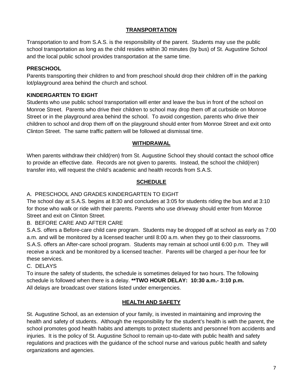# **TRANSPORTATION**

Transportation to and from S.A.S. is the responsibility of the parent. Students may use the public school transportation as long as the child resides within 30 minutes (by bus) of St. Augustine School and the local public school provides transportation at the same time.

# **PRESCHOOL**

Parents transporting their children to and from preschool should drop their children off in the parking lot/playground area behind the church and school.

# **KINDERGARTEN TO EIGHT**

Students who use public school transportation will enter and leave the bus in front of the school on Monroe Street. Parents who drive their children to school may drop them off at curbside on Monroe Street or in the playground area behind the school. To avoid congestion, parents who drive their children to school and drop them off on the playground should enter from Monroe Street and exit onto Clinton Street. The same traffic pattern will be followed at dismissal time.

# **WITHDRAWAL**

When parents withdraw their child(ren) from St. Augustine School they should contact the school office to provide an effective date. Records are not given to parents. Instead, the school the child(ren) transfer into, will request the child's academic and health records from S.A.S.

# **SCHEDULE**

# A. PRESCHOOL AND GRADES KINDERGARTEN TO EIGHT

The school day at S.A.S. begins at 8:30 and concludes at 3:05 for students riding the bus and at 3:10 for those who walk or ride with their parents. Parents who use driveway should enter from Monroe Street and exit on Clinton Street.

B. BEFORE CARE AND AFTER CARE

S.A.S. offers a Before-care child care program. Students may be dropped off at school as early as 7:00 a.m. and will be monitored by a licensed teacher until 8:00 a.m. when they go to their classrooms. S.A.S. offers an After-care school program. Students may remain at school until 6:00 p.m. They will receive a snack and be monitored by a licensed teacher. Parents will be charged a per-hour fee for these services.

# C. DELAYS

To insure the safety of students, the schedule is sometimes delayed for two hours. The following schedule is followed when there is a delay. **\*\*TWO HOUR DELAY: 10:30 a.m.- 3:10 p.m.** All delays are broadcast over stations listed under emergencies.

# **HEALTH AND SAFETY**

St. Augustine School, as an extension of your family, is invested in maintaining and improving the health and safety of students. Although the responsibility for the student's health is with the parent, the school promotes good health habits and attempts to protect students and personnel from accidents and injuries. It is the policy of St. Augustine School to remain up-to-date with public health and safety regulations and practices with the guidance of the school nurse and various public health and safety organizations and agencies.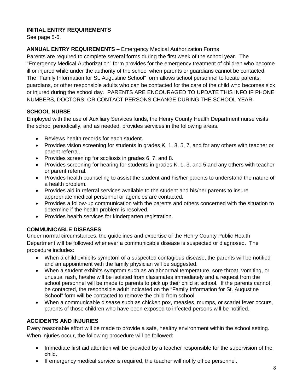# **INITIAL ENTRY REQUIREMENTS**

See page 5-6.

# **ANNUAL ENTRY REQUIREMENTS** – Emergency Medical Authorization Forms

Parents are required to complete several forms during the first week of the school year. The "Emergency Medical Authorization" form provides for the emergency treatment of children who become ill or injured while under the authority of the school when parents or guardians cannot be contacted. The "Family Information for St. Augustine School" form allows school personnel to locate parents, guardians, or other responsible adults who can be contacted for the care of the child who becomes sick or injured during the school day. PARENTS ARE ENCOURAGED TO UPDATE THIS INFO IF PHONE NUMBERS, DOCTORS, OR CONTACT PERSONS CHANGE DURING THE SCHOOL YEAR.

# **SCHOOL NURSE**

Employed with the use of Auxiliary Services funds, the Henry County Health Department nurse visits the school periodically, and as needed, provides services in the following areas.

- Reviews health records for each student.
- Provides vision screening for students in grades K, 1, 3, 5, 7, and for any others with teacher or parent referral.
- Provides screening for scoliosis in grades 6, 7, and 8.
- Provides screening for hearing for students in grades K, 1, 3, and 5 and any others with teacher or parent referral.
- Provides health counseling to assist the student and his/her parents to understand the nature of a health problem.
- Provides aid in referral services available to the student and his/her parents to insure appropriate medical personnel or agencies are contacted.
- Provides a follow-up communication with the parents and others concerned with the situation to determine if the health problem is resolved.
- Provides health services for kindergarten registration.

# **COMMUNICABLE DISEASES**

Under normal circumstances, the guidelines and expertise of the Henry County Public Health Department will be followed whenever a communicable disease is suspected or diagnosed. The procedure includes:

- When a child exhibits symptom of a suspected contagious disease, the parents will be notified and an appointment with the family physician will be suggested.
- When a student exhibits symptom such as an abnormal temperature, sore throat, vomiting, or unusual rash, he/she will be isolated from classmates immediately and a request from the school personnel will be made to parents to pick up their child at school. If the parents cannot be contacted, the responsible adult indicated on the "Family Information for St. Augustine School" form will be contacted to remove the child from school.
- When a communicable disease such as chicken pox, measles, mumps, or scarlet fever occurs, parents of those children who have been exposed to infected persons will be notified.

# **ACCIDENTS AND INJURIES**

Every reasonable effort will be made to provide a safe, healthy environment within the school setting. When injuries occur, the following procedure will be followed:

- Immediate first aid attention will be provided by a teacher responsible for the supervision of the child.
- If emergency medical service is required, the teacher will notify office personnel.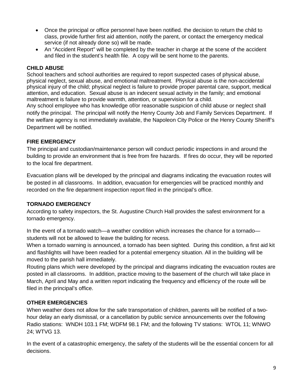- Once the principal or office personnel have been notified. the decision to return the child to class, provide further first aid attention, notify the parent, or contact the emergency medical service (if not already done so) will be made.
- An "Accident Report" will be completed by the teacher in charge at the scene of the accident and filed in the student's health file. A copy will be sent home to the parents.

# **CHILD ABUSE**

School teachers and school authorities are required to report suspected cases of physical abuse, physical neglect, sexual abuse, and emotional maltreatment. Physical abuse is the non-accidental physical injury of the child; physical neglect is failure to provide proper parental care, support, medical attention, and education. Sexual abuse is an indecent sexual activity in the family; and emotional maltreatment is failure to provide warmth, attention, or supervision for a child.

Any school employee who has knowledge of/or reasonable suspicion of child abuse or neglect shall notify the principal. The principal will notify the Henry County Job and Family Services Department. If the welfare agency is not immediately available, the Napoleon City Police or the Henry County Sheriff's Department will be notified.

#### **FIRE EMERGENCY**

The principal and custodian/maintenance person will conduct periodic inspections in and around the building to provide an environment that is free from fire hazards. If fires do occur, they will be reported to the local fire department.

Evacuation plans will be developed by the principal and diagrams indicating the evacuation routes will be posted in all classrooms. In addition, evacuation for emergencies will be practiced monthly and recorded on the fire department inspection report filed in the principal's office.

# **TORNADO EMERGENCY**

According to safety inspectors, the St. Augustine Church Hall provides the safest environment for a tornado emergency.

In the event of a tornado watch—a weather condition which increases the chance for a tornado students will not be allowed to leave the building for recess.

When a tornado warning is announced, a tornado has been sighted. During this condition, a first aid kit and flashlights will have been readied for a potential emergency situation. All in the building will be moved to the parish hall immediately.

Routing plans which were developed by the principal and diagrams indicating the evacuation routes are posted in all classrooms. In addition, practice moving to the basement of the church will take place in March, April and May and a written report indicating the frequency and efficiency of the route will be filed in the principal's office.

# **OTHER EMERGENCIES**

When weather does not allow for the safe transportation of children, parents will be notified of a twohour delay an early dismissal, or a cancellation by public service announcements over the following Radio stations: WNDH 103.1 FM; WDFM 98.1 FM; and the following TV stations: WTOL 11; WNWO 24; WTVG 13.

In the event of a catastrophic emergency, the safety of the students will be the essential concern for all decisions.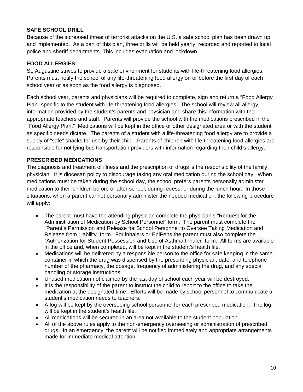# **SAFE SCHOOL DRILL**

Because of the increased threat of terrorist attacks on the U.S. a safe school plan has been drawn up and implemented. As a part of this plan, three drills will be held yearly, recorded and reported to local police and sheriff departments. This includes evacuation and lockdown.

# **FOOD ALLERGIES**

St. Augustine strives to provide a safe environment for students with life-threatening food allergies. Parents must notify the school of any life-threatening food allergy on or before the first day of each school year or as soon as the food allergy is diagnosed.

Each school year, parents and physicians will be required to complete, sign and return a "Food Allergy Plan" specific to the student with life-threatening food allergies. The school will review all allergy information provided by the student's parents and physician and share this information with the appropriate teachers and staff. Parents will provide the school with the medications prescribed in the "Food Allergy Plan." Medications will be kept in the office or other designated area or with the student as specific needs dictate. The parents of a student with a life-threatening food allergy are to provide a supply of "safe" snacks for use by their child. Parents of children with life-threatening food allergies are responsible for notifying bus transportation providers with information regarding their child's allergy.

# **PRESCRIBED MEDICATIONS**

The diagnosis and treatment of illness and the prescription of drugs is the responsibility of the family physician. It is diocesan policy to discourage taking any oral medication during the school day. When medications must be taken during the school day, the school prefers parents personally administer medication to their children before or after school, during recess, or during the lunch hour. In those situations, when a parent cannot personally administer the needed medication, the following procedure will apply:

- The parent must have the attending physician complete the physician's "Request for the Administration of Medication by School Personnel" form. The parent must complete the "Parent's Permission and Release for School Personnel to Oversee Taking Medication and Release from Liability" form. For inhalers or EpiPens the parent must also complete the "Authorization for Student Possession and Use of Asthma Inhaler" form. All forms are available in the office and, when completed, will be kept in the student's health file.
- Medications will be delivered by a responsible person to the office for safe keeping in the same container in which the drug was dispensed by the prescribing physician, date, and telephone number of the pharmacy, the dosage, frequency of administering the drug, and any special handling or storage instructions.
- Unused medication not claimed by the last day of school each year will be destroyed.
- It is the responsibility of the parent to instruct the child to report to the office to take the medication at the designated time. Efforts will be made by school personnel to communicate a student's medication needs to teachers.
- A log will be kept by the overseeing school personnel for each prescribed medication. The log will be kept in the student's health file.
- All medications will be secured in an area not available to the student population.
- All of the above rules apply to the non-emergency overseeing or administration of prescribed drugs. In an emergency, the parent will be notified immediately and appropriate arrangements made for immediate medical attention.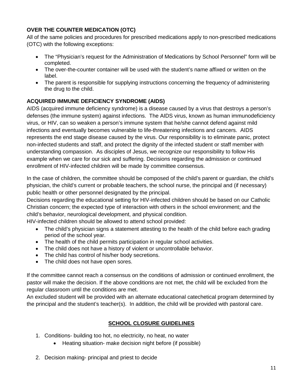# **OVER THE COUNTER MEDICATION (OTC)**

All of the same policies and procedures for prescribed medications apply to non-prescribed medications (OTC) with the following exceptions:

- The "Physician's request for the Administration of Medications by School Personnel" form will be completed.
- The over-the-counter container will be used with the student's name affixed or written on the label.
- The parent is responsible for supplying instructions concerning the frequency of administering the drug to the child.

# **ACQUIRED IMMUNE DEFICIENCY SYNDROME (AIDS)**

AIDS (acquired immune deficiency syndrome) is a disease caused by a virus that destroys a person's defenses (the immune system) against infections. The AIDS virus, known as human immunodeficiency virus, or HIV, can so weaken a person's immune system that he/she cannot defend against mild infections and eventually becomes vulnerable to life-threatening infections and cancers. AIDS represents the end stage disease caused by the virus. Our responsibility is to eliminate panic, protect non-infected students and staff, and protect the dignity of the infected student or staff member with understanding compassion. As disciples of Jesus, we recognize our responsibility to follow His example when we care for our sick and suffering. Decisions regarding the admission or continued enrollment of HIV-infected children will be made by committee consensus.

In the case of children, the committee should be composed of the child's parent or guardian, the child's physician, the child's current or probable teachers, the school nurse, the principal and (if necessary) public health or other personnel designated by the principal.

Decisions regarding the educational setting for HIV-infected children should be based on our Catholic Christian concern; the expected type of interaction with others in the school environment; and the child's behavior, neurological development, and physical condition.

HIV-infected children should be allowed to attend school provided:

- The child's physician signs a statement attesting to the health of the child before each grading period of the school year.
- The health of the child permits participation in regular school activities.
- The child does not have a history of violent or uncontrollable behavior.
- The child has control of his/her body secretions.
- The child does not have open sores.

If the committee cannot reach a consensus on the conditions of admission or continued enrollment, the pastor will make the decision. If the above conditions are not met, the child will be excluded from the regular classroom until the conditions are met.

An excluded student will be provided with an alternate educational catechetical program determined by the principal and the student's teacher(s). In addition, the child will be provided with pastoral care.

# **SCHOOL CLOSURE GUIDELINES**

- 1. Conditions- building too hot, no electricity, no heat, no water
	- Heating situation- make decision night before (if possible)
- 2. Decision making- principal and priest to decide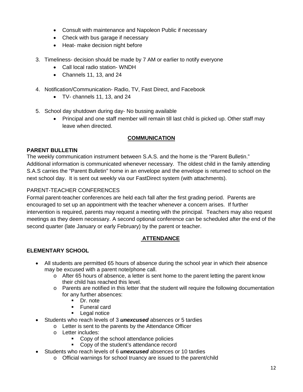- Consult with maintenance and Napoleon Public if necessary
- Check with bus garage if necessary
- Heat- make decision night before
- 3. Timeliness- decision should be made by 7 AM or earlier to notify everyone
	- Call local radio station- WNDH
	- Channels 11, 13, and 24
- 4. Notification/Communication- Radio, TV, Fast Direct, and Facebook
	- TV- channels 11, 13, and 24
- 5. School day shutdown during day- No bussing available
	- Principal and one staff member will remain till last child is picked up. Other staff may leave when directed.

#### **COMMUNICATION**

#### **PARENT BULLETIN**

The weekly communication instrument between S.A.S. and the home is the "Parent Bulletin." Additional information is communicated whenever necessary. The oldest child in the family attending S.A.S carries the "Parent Bulletin" home in an envelope and the envelope is returned to school on the next school day. It is sent out weekly via our FastDirect system (with attachments).

#### PARENT-TEACHER CONFERENCES

Formal parent-teacher conferences are held each fall after the first grading period. Parents are encouraged to set up an appointment with the teacher whenever a concern arises. If further intervention is required, parents may request a meeting with the principal. Teachers may also request meetings as they deem necessary. A second optional conference can be scheduled after the end of the second quarter (late January or early February) by the parent or teacher.

# **ATTENDANCE**

# **ELEMENTARY SCHOOL**

- All students are permitted 65 hours of absence during the school year in which their absence may be excused with a parent note/phone call.
	- $\circ$  After 65 hours of absence, a letter is sent home to the parent letting the parent know their child has reached this level.
	- o Parents are notified in this letter that the student will require the following documentation for any further absences:
		- Dr. note
		- **Funeral card**
		- **Legal notice**
- Students who reach levels of 3 *unexcused* absences or 5 tardies
	- o Letter is sent to the parents by the Attendance Officer
	- o Letter includes:
		- Copy of the school attendance policies
		- Copy of the student's attendance record
- Students who reach levels of 6 *unexcused* absences or 10 tardies
	- o Official warnings for school truancy are issued to the parent/child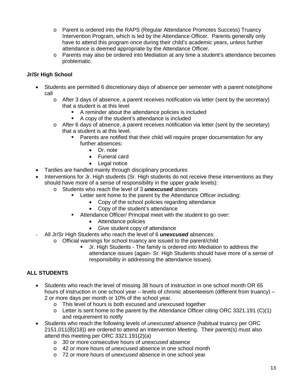- o Parent is ordered into the RAPS (Regular Attendance Promotes Success) Truancy Intervention Program, which is led by the Attendance Officer. Parents generally only have to attend this program once during their child's academic years, unless further attendance is deemed appropriate by the Attendance Officer.
- o Parents may also be ordered into Mediation at any time a student's attendance becomes problematic.

# **Jr/Sr High School**

- Students are permitted 6 discretionary days of absence per semester with a parent note/phone call
	- $\circ$  After 3 days of absence, a parent receives notification via letter (sent by the secretary) that a student is at this level
		- A reminder about the attendance policies is included
		- A copy of the student's attendance is included
	- o After 6 days of absence, a parent receives notification via letter (sent by the secretary) that a student is at this level.
		- Parents are notified that their child will require proper documentation for any further absences:
			- Dr. note
			- Funeral card
			- Legal notice
- Tardies are handled mainly through disciplinary procedures
- Interventions for Jr. High students (Sr. High students do not receive these interventions as they should have more of a sense of responsibility in the upper grade levels):
	- o Students who reach the level of 3 *unexcused* absences
		- Letter sent home to the parent by the Attendance Officer including:
			- Copy of the school policies regarding attendance
			- Copy of the student's attendance
		- Attendance Officer/ Principal meet with the student to go over:
			- Attendance policies
			- Give student copy of attendance
- All Jr/Sr High Students who reach the level of 6 *unexcused* absences:
	- o Official warnings for school truancy are issued to the parent/child
		- Jr. High Students The family is ordered into Mediation to address the attendance issues (again- Sr. High Students should have more of a sense of responsibility in addressing the attendance issues).

# **ALL STUDENTS**

- Students who reach the level of missing 38 hours of instruction in one school month OR 65 hours of instruction in one school year – levels of chronic absenteeism (different from truancy) – 2 or more days per month or 10% of the school year.
	- o This level of hours is both excused and unexcused together
	- $\circ$  Letter is sent home to the parent by the Attendance Officer citing ORC 3321.191 (C)(1) and requirement to notify
- Students who reach the following levels of *unexcused absence* (habitual truancy per ORC 2151.011(B)(18)) are ordered to attend an Intervention Meeting. Their parent(s) must also attend this meeting per ORC 3321.191(2)(a)
	- o 30 or more consecutive hours of *unexcused* absence
	- o 42 or more hours of *unexcused* absence in one school month
	- o 72 or more hours of *unexcused* absence in one school year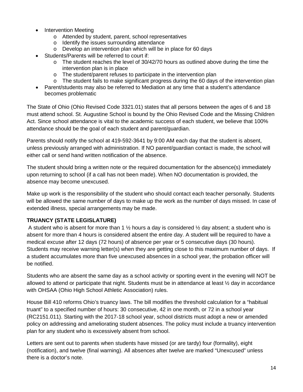- **Intervention Meeting** 
	- o Attended by student, parent, school representatives
	- o Identify the issues surrounding attendance
	- o Develop an intervention plan which will be in place for 60 days
- Students/Parents will be referred to court if:
	- $\circ$  The student reaches the level of 30/42/70 hours as outlined above during the time the intervention plan is in place
	- o The student/parent refuses to participate in the intervention plan<br>o The student fails to make significant progress during the 60 days
	- The student fails to make significant progress during the 60 days of the intervention plan
- Parent/students may also be referred to Mediation at any time that a student's attendance becomes problematic

The State of Ohio (Ohio Revised Code 3321.01) states that all persons between the ages of 6 and 18 must attend school. St. Augustine School is bound by the Ohio Revised Code and the Missing Children Act. Since school attendance is vital to the academic success of each student, we believe that 100% attendance should be the goal of each student and parent/guardian.

Parents should notify the school at 419-592-3641 by 9:00 AM each day that the student is absent, unless previously arranged with administration. If NO parent/guardian contact is made, the school will either call or send hand written notification of the absence.

The student should bring a written note or the required documentation for the absence(s) immediately upon returning to school (if a call has not been made). When NO documentation is provided, the absence may become unexcused.

Make up work is the responsibility of the student who should contact each teacher personally. Students will be allowed the same number of days to make up the work as the number of days missed. In case of extended illness, special arrangements may be made.

# **TRUANCY (STATE LEGISLATURE)**

A student who is absent for more than 1  $\frac{1}{2}$  hours a day is considered  $\frac{1}{2}$  day absent; a student who is absent for more than 4 hours is considered absent the entire day. A student will be required to have a medical excuse after 12 days (72 hours) of absence per year or 5 consecutive days (30 hours). Students may receive warning letter(s) when they are getting close to this maximum number of days. If a student accumulates more than five unexcused absences in a school year, the probation officer will be notified.

Students who are absent the same day as a school activity or sporting event in the evening will NOT be allowed to attend or participate that night. Students must be in attendance at least ½ day in accordance with OHSAA (Ohio High School Athletic Association) rules.

House Bill 410 reforms Ohio's truancy laws. The bill modifies the threshold calculation for a "habitual truant" to a specified number of hours: 30 consecutive, 42 in one month, or 72 in a school year (RC2151.011). Starting with the 2017-18 school year, school districts must adopt a new or amended policy on addressing and ameliorating student absences. The policy must include a truancy intervention plan for any student who is excessively absent from school.

Letters are sent out to parents when students have missed (or are tardy) four (formality), eight (notification), and twelve (final warning). All absences after twelve are marked "Unexcused" unless there is a doctor's note.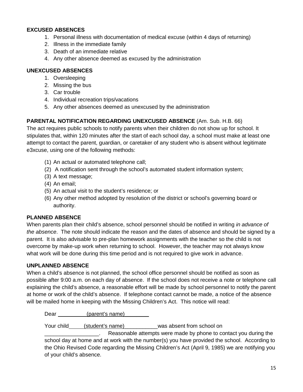# **EXCUSED ABSENCES**

- 1. Personal illness with documentation of medical excuse (within 4 days of returning)
- 2. Illness in the immediate family
- 3. Death of an immediate relative
- 4. Any other absence deemed as excused by the administration

### **UNEXCUSED ABSENCES**

- 1. Oversleeping
- 2. Missing the bus
- 3. Car trouble
- 4. Individual recreation trips/vacations
- 5. Any other absences deemed as unexcused by the administration

# **PARENTAL NOTIFICATION REGARDING UNEXCUSED ABSENCE** (Am. Sub. H.B. 66)

The act requires public schools to notify parents when their children do not show up for school. It stipulates that, within 120 minutes after the start of each school day, a school must make at least one attempt to contact the parent, guardian, or caretaker of any student who is absent without legitimate e3xcuse, using one of the following methods:

- (1) An actual or automated telephone call;
- (2) A notification sent through the school's automated student information system;
- (3) A text message;
- (4) An email;
- (5) An actual visit to the student's residence; or
- (6) Any other method adopted by resolution of the district or school's governing board or authority.

#### **PLANNED ABSENCE**

When parents plan their child's absence, school personnel should be notified in writing *in advance of the absence*. The note should indicate the reason and the dates of absence and should be signed by a parent. It is also advisable to pre-plan homework assignments with the teacher so the child is not overcome by make-up work when returning to school. However, the teacher may not always know what work will be done during this time period and is not required to give work in advance.

#### **UNPLANNED ABSENCE**

When a child's absence is not planned, the school office personnel should be notified as soon as possible after 9:00 a.m. on each day of absence. If the school does not receive a note or telephone call explaining the child's absence, a reasonable effort will be made by school personnel to notify the parent at home or work of the child's absence. If telephone contact cannot be made, a notice of the absence will be mailed home in keeping with the Missing Children's Act. This notice will read:

Dear (parent's name)

Your child (student's name) \_\_\_\_\_\_\_\_\_\_\_\_was absent from school on

**Example 3** Reasonable attempts were made by phone to contact you during the school day at home and at work with the number(s) you have provided the school. According to the Ohio Revised Code regarding the Missing Children's Act (April 9, 1985) we are notifying you of your child's absence.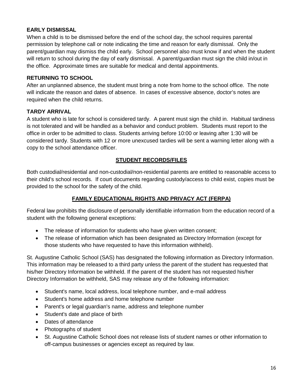# **EARLY DISMISSAL**

When a child is to be dismissed before the end of the school day, the school requires parental permission by telephone call or note indicating the time and reason for early dismissal. Only the parent/guardian may dismiss the child early. School personnel also must know if and when the student will return to school during the day of early dismissal. A parent/guardian must sign the child in/out in the office. Approximate times are suitable for medical and dental appointments.

# **RETURNING TO SCHOOL**

After an unplanned absence, the student must bring a note from home to the school office. The note will indicate the reason and dates of absence. In cases of excessive absence, doctor's notes are required when the child returns.

# **TARDY ARRIVAL**

A student who is late for school is considered tardy. A parent must sign the child in. Habitual tardiness is not tolerated and will be handled as a behavior and conduct problem. Students must report to the office in order to be admitted to class. Students arriving before 10:00 or leaving after 1:30 will be considered tardy. Students with 12 or more unexcused tardies will be sent a warning letter along with a copy to the school attendance officer.

# **STUDENT RECORDS/FILES**

Both custodial/residential and non-custodial/non-residential parents are entitled to reasonable access to their child's school records. If court documents regarding custody/access to child exist, copies must be provided to the school for the safety of the child.

# **FAMILY EDUCATIONAL RIGHTS AND PRIVACY ACT (FERPA)**

Federal law prohibits the disclosure of personally identifiable information from the education record of a student with the following general exceptions:

- The release of information for students who have given written consent;
- The release of information which has been designated as Directory Information (except for those students who have requested to have this information withheld).

St. Augustine Catholic School (SAS) has designated the following information as Directory Information. This information may be released to a third party unless the parent of the student has requested that his/her Directory Information be withheld. If the parent of the student has not requested his/her Directory Information be withheld, SAS may release any of the following information:

- Student's name, local address, local telephone number, and e-mail address
- Student's home address and home telephone number
- Parent's or legal guardian's name, address and telephone number
- Student's date and place of birth
- Dates of attendance
- Photographs of student
- St. Augustine Catholic School does not release lists of student names or other information to off-campus businesses or agencies except as required by law.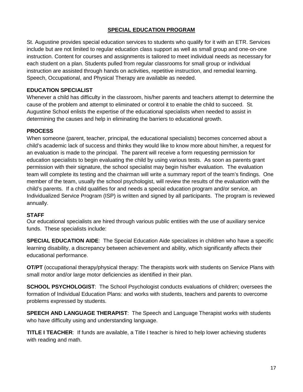# **SPECIAL EDUCATION PROGRAM**

St. Augustine provides special education services to students who qualify for it with an ETR. Services include but are not limited to regular education class support as well as small group and one-on-one instruction. Content for courses and assignments is tailored to meet individual needs as necessary for each student on a plan. Students pulled from regular classrooms for small group or individual instruction are assisted through hands on activities, repetitive instruction, and remedial learning. Speech, Occupational, and Physical Therapy are available as needed.

# **EDUCATION SPECIALIST**

Whenever a child has difficulty in the classroom, his/her parents and teachers attempt to determine the cause of the problem and attempt to eliminated or control it to enable the child to succeed. St. Augustine School enlists the expertise of the educational specialists when needed to assist in determining the causes and help in eliminating the barriers to educational growth.

# **PROCESS**

When someone (parent, teacher, principal, the educational specialists) becomes concerned about a child's academic lack of success and thinks they would like to know more about him/her, a request for an evaluation is made to the principal. The parent will receive a form requesting permission for education specialists to begin evaluating the child by using various tests. As soon as parents grant permission with their signature, the school specialist may begin his/her evaluation. The evaluation team will complete its testing and the chairman will write a summary report of the team's findings. One member of the team, usually the school psychologist, will review the results of the evaluation with the child's parents. If a child qualifies for and needs a special education program and/or service, an Individualized Service Program (ISP) is written and signed by all participants. The program is reviewed annually.

# **STAFF**

Our educational specialists are hired through various public entities with the use of auxiliary service funds. These specialists include:

**SPECIAL EDUCATION AIDE**: The Special Education Aide specializes in children who have a specific learning disability, a discrepancy between achievement and ability, which significantly affects their educational performance.

**OT/PT** (occupational therapy/physical therapy: The therapists work with students on Service Plans with small motor and/or large motor deficiencies as identified in their plan.

**SCHOOL PSYCHOLOGIST:** The School Psychologist conducts evaluations of children; oversees the formation of Individual Education Plans: and works with students, teachers and parents to overcome problems expressed by students.

**SPEECH AND LANGUAGE THERAPIST**: The Speech and Language Therapist works with students who have difficulty using and understanding language.

**TITLE I TEACHER**: If funds are available, a Title I teacher is hired to help lower achieving students with reading and math.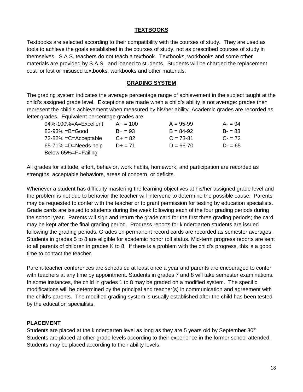### **TEXTBOOKS**

Textbooks are selected according to their compatibility with the courses of study. They are used as tools to achieve the goals established in the courses of study, not as prescribed courses of study in themselves. S.A.S. teachers do not teach a textbook. Textbooks, workbooks and some other materials are provided by S.A.S. and loaned to students. Students will be charged the replacement cost for lost or misused textbooks, workbooks and other materials.

#### **GRADING SYSTEM**

The grading system indicates the average percentage range of achievement in the subject taught at the child's assigned grade level. Exceptions are made when a child's ability is not average: grades then represent the child's achievement when measured by his/her ability. Academic grades are recorded as letter grades. Equivalent percentage grades are:

| 94%-100%=A=Excellent | $A+ = 100$ | $A = 95-99$   | $A - 94$ |
|----------------------|------------|---------------|----------|
| 83-93% =B=Good       | $B+ = 93$  | $B = 84-92$   | $B - 83$ |
| 72-82% =C=Acceptable | $C + 82$   | $C = 73-81$   | $C - 72$ |
| 65-71% =D=Needs help | $D+ = 71$  | $D = 66 - 70$ | $D - 65$ |
| Below 65%=F=Failing  |            |               |          |

All grades for attitude, effort, behavior, work habits, homework, and participation are recorded as strengths, acceptable behaviors, areas of concern, or deficits.

Whenever a student has difficulty mastering the learning objectives at his/her assigned grade level and the problem is not due to behavior the teacher will intervene to determine the possible cause. Parents may be requested to confer with the teacher or to grant permission for testing by education specialists. Grade cards are issued to students during the week following each of the four grading periods during the school year. Parents will sign and return the grade card for the first three grading periods; the card may be kept after the final grading period. Progress reports for kindergarten students are issued following the grading periods. Grades on permanent record cards are recorded as semester averages. Students in grades 5 to 8 are eligible for academic honor roll status. Mid-term progress reports are sent to all parents of children in grades K to 8. If there is a problem with the child's progress, this is a good time to contact the teacher.

Parent-teacher conferences are scheduled at least once a year and parents are encouraged to confer with teachers at any time by appointment. Students in grades 7 and 8 will take semester examinations. In some instances, the child in grades 1 to 8 may be graded on a modified system. The specific modifications will be determined by the principal and teacher(s) in communication and agreement with the child's parents. The modified grading system is usually established after the child has been tested by the education specialists.

#### **PLACEMENT**

Students are placed at the kindergarten level as long as they are 5 years old by September 30<sup>th</sup>. Students are placed at other grade levels according to their experience in the former school attended. Students may be placed according to their ability levels.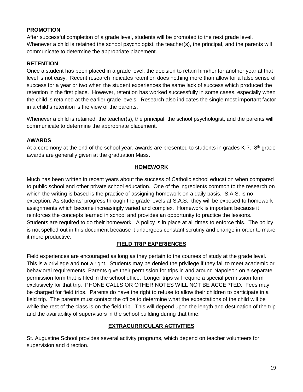### **PROMOTION**

After successful completion of a grade level, students will be promoted to the next grade level. Whenever a child is retained the school psychologist, the teacher(s), the principal, and the parents will communicate to determine the appropriate placement.

### **RETENTION**

Once a student has been placed in a grade level, the decision to retain him/her for another year at that level is not easy. Recent research indicates retention does nothing more than allow for a false sense of success for a year or two when the student experiences the same lack of success which produced the retention in the first place. However, retention has worked successfully in some cases, especially when the child is retained at the earlier grade levels. Research also indicates the single most important factor in a child's retention is the view of the parents.

Whenever a child is retained, the teacher(s), the principal, the school psychologist, and the parents will communicate to determine the appropriate placement.

#### **AWARDS**

At a ceremony at the end of the school year, awards are presented to students in grades K-7. 8<sup>th</sup> grade awards are generally given at the graduation Mass.

#### **HOMEWORK**

Much has been written in recent years about the success of Catholic school education when compared to public school and other private school education. One of the ingredients common to the research on which the writing is based is the practice of assigning homework on a daily basis. S.A.S. is no exception. As students' progress through the grade levels at S.A.S., they will be exposed to homework assignments which become increasingly varied and complex. Homework is important because it reinforces the concepts learned in school and provides an opportunity to practice the lessons. Students are required to do their homework. A policy is in place at all times to enforce this. The policy is not spelled out in this document because it undergoes constant scrutiny and change in order to make it more productive.

#### **FIELD TRIP EXPERIENCES**

Field experiences are encouraged as long as they pertain to the courses of study at the grade level. This is a privilege and not a right. Students may be denied the privilege if they fail to meet academic or behavioral requirements. Parents give their permission for trips in and around Napoleon on a separate permission form that is filed in the school office. Longer trips will require a special permission form exclusively for that trip. PHONE CALLS OR OTHER NOTES WILL NOT BE ACCEPTED. Fees may be charged for field trips. Parents do have the right to refuse to allow their children to participate in a field trip. The parents must contact the office to determine what the expectations of the child will be while the rest of the class is on the field trip. This will depend upon the length and destination of the trip and the availability of supervisors in the school building during that time.

#### **EXTRACURRICULAR ACTIVITIES**

St. Augustine School provides several activity programs, which depend on teacher volunteers for supervision and direction.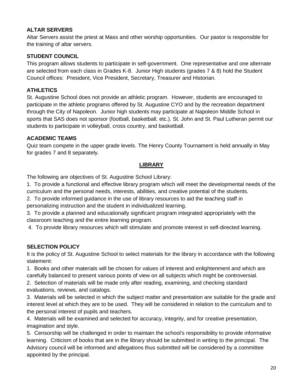# **ALTAR SERVERS**

Altar Servers assist the priest at Mass and other worship opportunities. Our pastor is responsible for the training of altar servers.

# **STUDENT COUNCIL**

This program allows students to participate in self-government. One representative and one alternate are selected from each class in Grades K-8. Junior High students (grades 7 & 8) hold the Student Council offices: President, Vice President, Secretary, Treasurer and Historian.

# **ATHLETICS**

St. Augustine School does not provide an athletic program. However, students are encouraged to participate in the athletic programs offered by St. Augustine CYO and by the recreation department through the City of Napoleon. Junior high students may participate at Napoleon Middle School in sports that SAS does not sponsor (football, basketball, etc.). St. John and St. Paul Lutheran permit our students to participate in volleyball, cross country, and basketball.

# **ACADEMIC TEAMS**

Quiz team compete in the upper grade levels. The Henry County Tournament is held annually in May for grades 7 and 8 separately.

# **LIBRARY**

The following are objectives of St. Augustine School Library:

1. To provide a functional and effective library program which will meet the developmental needs of the curriculum and the personal needs, interests, abilities, and creative potential of the students.

2. To provide informed guidance in the use of library resources to aid the teaching staff in personalizing instruction and the student in individualized learning.

3. To provide a planned and educationally significant program integrated appropriately with the classroom teaching and the entire learning program.

4. To provide library resources which will stimulate and promote interest in self-directed learning.

# **SELECTION POLICY**

It is the policy of St. Augustine School to select materials for the library in accordance with the following statement:

1. Books and other materials will be chosen for values of interest and enlightenment and which are carefully balanced to present various points of view on all subjects which might be controversial.

2. Selection of materials will be made only after reading, examining, and checking standard evaluations, reviews, and catalogs.

3. Materials will be selected in which the subject matter and presentation are suitable for the grade and interest level at which they are to be used. They will be considered in relation to the curriculum and to the personal interest of pupils and teachers.

4. Materials will be examined and selected for accuracy, integrity, and for creative presentation, imagination and style.

5. Censorship will be challenged in order to maintain the school's responsibility to provide informative learning. Criticism of books that are in the library should be submitted in writing to the principal. The Advisory council will be informed and allegations thus submitted will be considered by a committee appointed by the principal.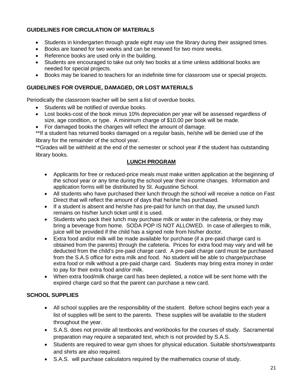# **GUIDELINES FOR CIRCULATION OF MATERIALS**

- Students in kindergarten through grade eight may use the library during their assigned times.
- Books are loaned for two weeks and can be renewed for two more weeks.
- Reference books are used only in the building.
- Students are encouraged to take out only two books at a time unless additional books are needed for special projects.
- Books may be loaned to teachers for an indefinite time for classroom use or special projects.

# **GUIDELINES FOR OVERDUE, DAMAGED, OR LOST MATERIALS**

Periodically the classroom teacher will be sent a list of overdue books.

- Students will be notified of overdue books.
- Lost books-cost of the book minus 10% depreciation per year will be assessed regardless of size, age condition, or type. A minimum charge of \$10.00 per book will be made.
- For damaged books the charges will reflect the amount of damage.

\*\*If a student has returned books damaged on a regular basis, he/she will be denied use of the library for the remainder of the school year.

\*\*Grades will be withheld at the end of the semester or school year if the student has outstanding library books.

#### **LUNCH PROGRAM**

- Applicants for free or reduced-price meals must make written application at the beginning of the school year or any time during the school year their income changes. Information and application forms will be distributed by St. Augustine School.
- All students who have purchased their lunch through the school will receive a notice on Fast Direct that will reflect the amount of days that he/she has purchased.
- If a student is absent and he/she has pre-paid for lunch on that day, the unused lunch remains on his/her lunch ticket until it is used.
- Students who pack their lunch may purchase milk or water in the cafeteria, or they may bring a beverage from home. SODA POP IS NOT ALLOWED. In case of allergies to milk, juice will be provided if the child has a signed note from his/her doctor.
- Extra food and/or milk will be made available for purchase (if a pre-paid charge card is obtained from the parents) through the cafeteria. Prices for extra food may vary and will be deducted from the child's pre-paid charge card. A pre-paid charge card must be purchased from the S.A.S office for extra milk and food. No student will be able to charge/purchase extra food or milk without a pre-paid charge card. Students may bring extra money in order to pay for their extra food and/or milk.
- When extra food/milk charge card has been depleted, a notice will be sent home with the expired charge card so that the parent can purchase a new card.

#### **SCHOOL SUPPLIES**

- All school supplies are the responsibility of the student. Before school begins each year a list of supplies will be sent to the parents. These supplies will be available to the student throughout the year.
- S.A.S. does not provide all textbooks and workbooks for the courses of study. Sacramental preparation may require a separated text, which is not provided by S.A.S.
- Students are required to wear gym shoes for physical education. Suitable shorts/sweatpants and shirts are also required.
- S.A.S. will purchase calculators required by the mathematics course of study.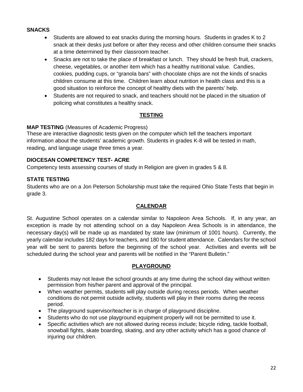#### **SNACKS**

- Students are allowed to eat snacks during the morning hours. Students in grades K to 2 snack at their desks just before or after they recess and other children consume their snacks at a time determined by their classroom teacher.
- Snacks are not to take the place of breakfast or lunch. They should be fresh fruit, crackers, cheese, vegetables, or another item which has a healthy nutritional value. Candies, cookies, pudding cups, or "granola bars" with chocolate chips are not the kinds of snacks children consume at this time. Children learn about nutrition in health class and this is a good situation to reinforce the concept of healthy diets with the parents' help.
- Students are not required to snack, and teachers should not be placed in the situation of policing what constitutes a healthy snack.

#### **TESTING**

#### **MAP TESTING** (Measures of Academic Progress)

These are interactive diagnostic tests given on the computer which tell the teachers important information about the students' academic growth. Students in grades K-8 will be tested in math, reading, and language usage three times a year.

#### **DIOCESAN COMPETENCY TEST- ACRE**

Competency tests assessing courses of study in Religion are given in grades 5 & 8.

# **STATE TESTING**

Students who are on a Jon Peterson Scholarship must take the required Ohio State Tests that begin in grade 3.

#### **CALENDAR**

St. Augustine School operates on a calendar similar to Napoleon Area Schools. If, in any year, an exception is made by not attending school on a day Napoleon Area Schools is in attendance, the necessary day(s) will be made up as mandated by state law (minimum of 1001 hours). Currently, the yearly calendar includes 182 days for teachers, and 180 for student attendance. Calendars for the school year will be sent to parents before the beginning of the school year. Activities and events will be scheduled during the school year and parents will be notified in the "Parent Bulletin."

#### **PLAYGROUND**

- Students may not leave the school grounds at any time during the school day without written permission from his/her parent and approval of the principal.
- When weather permits, students will play outside during recess periods. When weather conditions do not permit outside activity, students will play in their rooms during the recess period.
- The playground supervisor/teacher is in charge of playground discipline.
- Students who do not use playground equipment properly will not be permitted to use it.
- Specific activities which are not allowed during recess include; bicycle riding, tackle football, snowball fights, skate boarding, skating, and any other activity which has a good chance of injuring our children.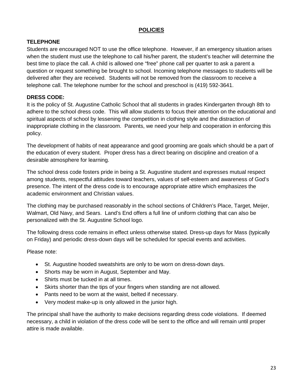# **POLICIES**

# **TELEPHONE**

Students are encouraged NOT to use the office telephone. However, if an emergency situation arises when the student must use the telephone to call his/her parent, the student's teacher will determine the best time to place the call. A child is allowed one "free" phone call per quarter to ask a parent a question or request something be brought to school. Incoming telephone messages to students will be delivered after they are received. Students will not be removed from the classroom to receive a telephone call. The telephone number for the school and preschool is (419) 592-3641.

# **DRESS CODE:**

It is the policy of St. Augustine Catholic School that all students in grades Kindergarten through 8th to adhere to the school dress code. This will allow students to focus their attention on the educational and spiritual aspects of school by lessening the competition in clothing style and the distraction of inappropriate clothing in the classroom. Parents, we need your help and cooperation in enforcing this policy.

The development of habits of neat appearance and good grooming are goals which should be a part of the education of every student. Proper dress has a direct bearing on discipline and creation of a desirable atmosphere for learning.

The school dress code fosters pride in being a St. Augustine student and expresses mutual respect among students, respectful attitudes toward teachers, values of self-esteem and awareness of God's presence. The intent of the dress code is to encourage appropriate attire which emphasizes the academic environment and Christian values.

The clothing may be purchased reasonably in the school sections of Children's Place, Target, Meijer, Walmart, Old Navy, and Sears. Land's End offers a full line of uniform clothing that can also be personalized with the St. Augustine School logo.

The following dress code remains in effect unless otherwise stated. Dress-up days for Mass (typically on Friday) and periodic dress-down days will be scheduled for special events and activities.

# Please note:

- St. Augustine hooded sweatshirts are only to be worn on dress-down days.
- Shorts may be worn in August, September and May.
- Shirts must be tucked in at all times.
- Skirts shorter than the tips of your fingers when standing are not allowed.
- Pants need to be worn at the waist, belted if necessary.
- Very modest make-up is only allowed in the junior high.

The principal shall have the authority to make decisions regarding dress code violations. If deemed necessary, a child in violation of the dress code will be sent to the office and will remain until proper attire is made available.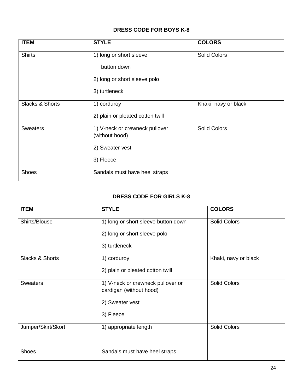# **DRESS CODE FOR BOYS K-8**

| <b>ITEM</b>                | <b>STYLE</b>                     | <b>COLORS</b>        |
|----------------------------|----------------------------------|----------------------|
| <b>Shirts</b>              | 1) long or short sleeve          | <b>Solid Colors</b>  |
|                            | button down                      |                      |
|                            | 2) long or short sleeve polo     |                      |
|                            | 3) turtleneck                    |                      |
| <b>Slacks &amp; Shorts</b> | 1) corduroy                      | Khaki, navy or black |
|                            | 2) plain or pleated cotton twill |                      |
| <b>Sweaters</b>            | 1) V-neck or crewneck pullover   | <b>Solid Colors</b>  |
|                            | (without hood)                   |                      |
|                            | 2) Sweater vest                  |                      |
|                            | 3) Fleece                        |                      |
| <b>Shoes</b>               | Sandals must have heel straps    |                      |

# **DRESS CODE FOR GIRLS K-8**

| <b>ITEM</b>                | <b>STYLE</b>                                                 | <b>COLORS</b>        |
|----------------------------|--------------------------------------------------------------|----------------------|
| Shirts/Blouse              | 1) long or short sleeve button down                          | <b>Solid Colors</b>  |
|                            | 2) long or short sleeve polo                                 |                      |
|                            | 3) turtleneck                                                |                      |
| <b>Slacks &amp; Shorts</b> | 1) corduroy                                                  | Khaki, navy or black |
|                            | 2) plain or pleated cotton twill                             |                      |
| <b>Sweaters</b>            | 1) V-neck or crewneck pullover or<br>cardigan (without hood) | <b>Solid Colors</b>  |
|                            |                                                              |                      |
|                            | 2) Sweater vest                                              |                      |
|                            | 3) Fleece                                                    |                      |
| Jumper/Skirt/Skort         | 1) appropriate length                                        | <b>Solid Colors</b>  |
|                            |                                                              |                      |
| <b>Shoes</b>               | Sandals must have heel straps                                |                      |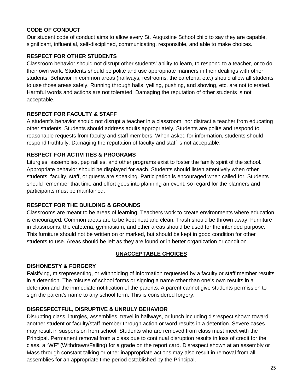# **CODE OF CONDUCT**

Our student code of conduct aims to allow every St. Augustine School child to say they are capable, significant, influential, self-disciplined, communicating, responsible, and able to make choices.

# **RESPECT FOR OTHER STUDENTS**

Classroom behavior should not disrupt other students' ability to learn, to respond to a teacher, or to do their own work. Students should be polite and use appropriate manners in their dealings with other students. Behavior in common areas (hallways, restrooms, the cafeteria, etc.) should allow all students to use those areas safely. Running through halls, yelling, pushing, and shoving, etc. are not tolerated. Harmful words and actions are not tolerated. Damaging the reputation of other students is not acceptable.

# **RESPECT FOR FACULTY & STAFF**

A student's behavior should not disrupt a teacher in a classroom, nor distract a teacher from educating other students. Students should address adults appropriately. Students are polite and respond to reasonable requests from faculty and staff members. When asked for information, students should respond truthfully. Damaging the reputation of faculty and staff is not acceptable.

# **RESPECT FOR ACTIVITIES & PROGRAMS**

Liturgies, assemblies, pep rallies, and other programs exist to foster the family spirit of the school. Appropriate behavior should be displayed for each. Students should listen attentively when other students, faculty, staff, or guests are speaking. Participation is encouraged when called for. Students should remember that time and effort goes into planning an event, so regard for the planners and participants must be maintained.

# **RESPECT FOR THE BUILDING & GROUNDS**

Classrooms are meant to be areas of learning. Teachers work to create environments where education is encouraged. Common areas are to be kept neat and clean. Trash should be thrown away. Furniture in classrooms, the cafeteria, gymnasium, and other areas should be used for the intended purpose. This furniture should not be written on or marked, but should be kept in good condition for other students to use. Areas should be left as they are found or in better organization or condition.

# **UNACCEPTABLE CHOICES**

# **DISHONESTY & FORGERY**

Falsifying, misrepresenting, or withholding of information requested by a faculty or staff member results in a detention. The misuse of school forms or signing a name other than one's own results in a detention and the immediate notification of the parents. A parent cannot give students permission to sign the parent's name to any school form. This is considered forgery.

# **DISRESPECTFUL, DISRUPTIVE & UNRULY BEHAVIOR**

Disrupting class, liturgies, assemblies, travel in hallways, or lunch including disrespect shown toward another student or faculty/staff member through action or word results in a detention. Severe cases may result in suspension from school. Students who are removed from class must meet with the Principal. Permanent removal from a class due to continual disruption results in loss of credit for the class, a "WF" (Withdrawn/Failing) for a grade on the report card. Disrespect shown at an assembly or Mass through constant talking or other inappropriate actions may also result in removal from all assemblies for an appropriate time period established by the Principal.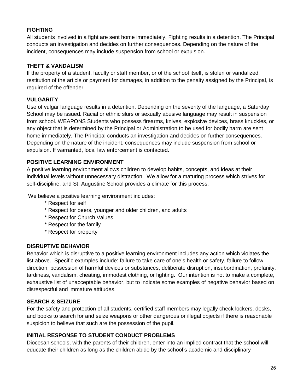# **FIGHTING**

All students involved in a fight are sent home immediately. Fighting results in a detention. The Principal conducts an investigation and decides on further consequences. Depending on the nature of the incident, consequences may include suspension from school or expulsion.

# **THEFT & VANDALISM**

If the property of a student, faculty or staff member, or of the school itself, is stolen or vandalized, restitution of the article or payment for damages, in addition to the penalty assigned by the Principal, is required of the offender.

# **VULGARITY**

Use of vulgar language results in a detention. Depending on the severity of the language, a Saturday School may be issued. Racial or ethnic slurs or sexually abusive language may result in suspension from school. WEAPONS Students who possess firearms, knives, explosive devices, brass knuckles, or any object that is determined by the Principal or Administration to be used for bodily harm are sent home immediately. The Principal conducts an investigation and decides on further consequences. Depending on the nature of the incident, consequences may include suspension from school or expulsion. If warranted, local law enforcement is contacted.

# **POSITIVE LEARNING ENVIRONMENT**

A positive learning environment allows children to develop habits, concepts, and ideas at their individual levels without unnecessary distraction. We allow for a maturing process which strives for self-discipline, and St. Augustine School provides a climate for this process.

We believe a positive learning environment includes:

- \* Respect for self
- \* Respect for peers, younger and older children, and adults
- \* Respect for Church Values
- \* Respect for the family
- \* Respect for property

# **DISRUPTIVE BEHAVIOR**

Behavior which is disruptive to a positive learning environment includes any action which violates the list above. Specific examples include: failure to take care of one's health or safety, failure to follow direction, possession of harmful devices or substances, deliberate disruption, insubordination, profanity, tardiness, vandalism, cheating, immodest clothing, or fighting. Our intention is not to make a complete, exhaustive list of unacceptable behavior, but to indicate some examples of negative behavior based on disrespectful and immature attitudes.

# **SEARCH & SEIZURE**

For the safety and protection of all students, certified staff members may legally check lockers, desks, and books to search for and seize weapons or other dangerous or illegal objects if there is reasonable suspicion to believe that such are the possession of the pupil.

# **INITIAL RESPONSE TO STUDENT CONDUCT PROBLEMS**

Diocesan schools, with the parents of their children, enter into an implied contract that the school will educate their children as long as the children abide by the school's academic and disciplinary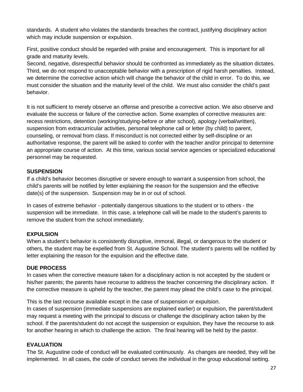standards. A student who violates the standards breaches the contract, justifying disciplinary action which may include suspension or expulsion.

First, positive conduct should be regarded with praise and encouragement. This is important for all grade and maturity levels.

Second, negative, disrespectful behavior should be confronted as immediately as the situation dictates. Third, we do not respond to unacceptable behavior with a prescription of rigid harsh penalties. Instead, we determine the corrective action which will change the behavior of the child in error. To do this, we must consider the situation and the maturity level of the child. We must also consider the child's past behavior.

It is not sufficient to merely observe an offense and prescribe a corrective action. We also observe and evaluate the success or failure of the corrective action. Some examples of corrective measures are: recess restrictions, detention (working/studying-before or after school), apology (verbal/written), suspension from extracurricular activities, personal telephone call or letter (by child) to parent, counseling, or removal from class. If misconduct is not corrected either by self-discipline or an authoritative response, the parent will be asked to confer with the teacher and/or principal to determine an appropriate course of action. At this time, various social service agencies or specialized educational personnel may be requested.

# **SUSPENSION**

If a child's behavior becomes disruptive or severe enough to warrant a suspension from school, the child's parents will be notified by letter explaining the reason for the suspension and the effective date(s) of the suspension. Suspension may be in or out of school.

In cases of extreme behavior - potentially dangerous situations to the student or to others - the suspension will be immediate. In this case, a telephone call will be made to the student's parents to remove the student from the school immediately.

# **EXPULSION**

When a student's behavior is consistently disruptive, immoral, illegal, or dangerous to the student or others, the student may be expelled from St. Augustine School. The student's parents will be notified by letter explaining the reason for the expulsion and the effective date.

#### **DUE PROCESS**

In cases when the corrective measure taken for a disciplinary action is not accepted by the student or his/her parents; the parents have recourse to address the teacher concerning the disciplinary action. If the corrective measure is upheld by the teacher, the parent may plead the child's case to the principal.

This is the last recourse available except in the case of suspension or expulsion.

In cases of suspension (immediate suspensions are explained earlier) or expulsion, the parent/student may request a meeting with the principal to discuss or challenge the disciplinary action taken by the school. If the parents/student do not accept the suspension or expulsion, they have the recourse to ask for another hearing in which to challenge the action. The final hearing will be held by the pastor.

#### **EVALUATION**

The St. Augustine code of conduct will be evaluated continuously. As changes are needed, they will be implemented. In all cases, the code of conduct serves the individual in the group educational setting.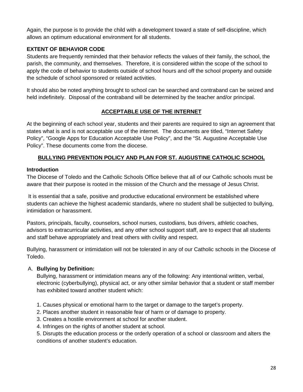Again, the purpose is to provide the child with a development toward a state of self-discipline, which allows an optimum educational environment for all students.

# **EXTENT OF BEHAVIOR CODE**

Students are frequently reminded that their behavior reflects the values of their family, the school, the parish, the community, and themselves. Therefore, it is considered within the scope of the school to apply the code of behavior to students outside of school hours and off the school property and outside the schedule of school sponsored or related activities.

It should also be noted anything brought to school can be searched and contraband can be seized and held indefinitely. Disposal of the contraband will be determined by the teacher and/or principal.

# **ACCEPTABLE USE OF THE INTERNET**

At the beginning of each school year, students and their parents are required to sign an agreement that states what is and is not acceptable use of the internet. The documents are titled, "Internet Safety Policy", "Google Apps for Education Acceptable Use Policy", and the "St. Augustine Acceptable Use Policy". These documents come from the diocese.

# **BULLYING PREVENTION POLICY AND PLAN FOR ST. AUGUSTINE CATHOLIC SCHOOL**

#### **Introduction**

The Diocese of Toledo and the Catholic Schools Office believe that all of our Catholic schools must be aware that their purpose is rooted in the mission of the Church and the message of Jesus Christ.

It is essential that a safe, positive and productive educational environment be established where students can achieve the highest academic standards, where no student shall be subjected to bullying, intimidation or harassment.

Pastors, principals, faculty, counselors, school nurses, custodians, bus drivers, athletic coaches, advisors to extracurricular activities, and any other school support staff, are to expect that all students and staff behave appropriately and treat others with civility and respect.

Bullying, harassment or intimidation will not be tolerated in any of our Catholic schools in the Diocese of Toledo.

# A. **Bullying by Definition:**

Bullying, harassment or intimidation means any of the following: Any intentional written, verbal, electronic (cyberbullying), physical act, or any other similar behavior that a student or staff member has exhibited toward another student which:

1. Causes physical or emotional harm to the target or damage to the target's property.

- 2. Places another student in reasonable fear of harm or of damage to property.
- 3. Creates a hostile environment at school for another student.
- 4. Infringes on the rights of another student at school.

5. Disrupts the education process or the orderly operation of a school or classroom and alters the conditions of another student's education.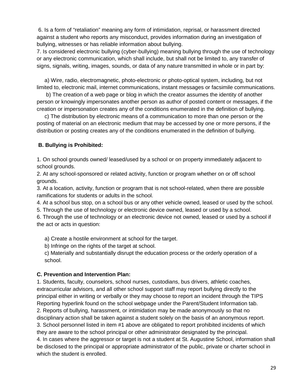6. Is a form of "retaliation" meaning any form of intimidation, reprisal, or harassment directed against a student who reports any misconduct, provides information during an investigation of bullying, witnesses or has reliable information about bullying.

7. Is considered electronic bullying (cyber-bullying) meaning bullying through the use of technology or any electronic communication, which shall include, but shall not be limited to, any transfer of signs, signals, writing, images, sounds, or data of any nature transmitted in whole or in part by:

a) Wire, radio, electromagnetic, photo-electronic or photo-optical system, including, but not limited to, electronic mail, internet communications, instant messages or facsimile communications.

b) The creation of a web page or blog in which the creator assumes the identity of another person or knowingly impersonates another person as author of posted content or messages, if the creation or impersonation creates any of the conditions enumerated in the definition of bullying.

c) The distribution by electronic means of a communication to more than one person or the posting of material on an electronic medium that may be accessed by one or more persons, if the distribution or posting creates any of the conditions enumerated in the definition of bullying.

# **B. Bullying is Prohibited:**

1. On school grounds owned/ leased/used by a school or on property immediately adjacent to school grounds.

2. At any school-sponsored or related activity, function or program whether on or off school grounds.

3. At a location, activity, function or program that is not school-related, when there are possible ramifications for students or adults in the school.

4. At a school bus stop, on a school bus or any other vehicle owned, leased or used by the school.

5. Through the use of technology or electronic device owned, leased or used by a school.

6. Through the use of technology or an electronic device not owned, leased or used by a school if the act or acts in question:

a) Create a hostile environment at school for the target.

b) Infringe on the rights of the target at school.

c) Materially and substantially disrupt the education process or the orderly operation of a school.

# **C. Prevention and Intervention Plan:**

1. Students, faculty, counselors, school nurses, custodians, bus drivers, athletic coaches, extracurricular advisors, and all other school support staff may report bullying directly to the principal either in writing or verbally or they may choose to report an incident through the TIPS Reporting hyperlink found on the school webpage under the Parent/Student Information tab. 2. Reports of bullying, harassment, or intimidation may be made anonymously so that no disciplinary action shall be taken against a student solely on the basis of an anonymous report. 3. School personnel listed in item #1 above are obligated to report prohibited incidents of which they are aware to the school principal or other administrator designated by the principal. 4. In cases where the aggressor or target is not a student at St. Augustine School, information shall be disclosed to the principal or appropriate administrator of the public, private or charter school in which the student is enrolled.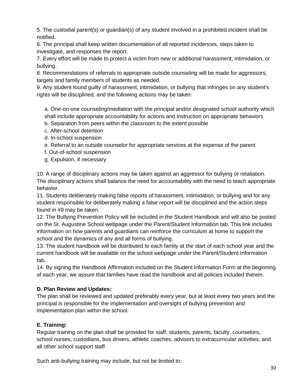5. The custodial parent(s) or guardian(s) of any student involved in a prohibited incident shall be notified.

6. The principal shall keep written documentation of all reported incidences, steps taken to investigate, and responses the report.

7. Every effort will be made to protect a victim from new or additional harassment, intimidation, or bullying.

8. Recommendations of referrals to appropriate outside counseling will be made for aggressors, targets and family members of students as needed.

9. Any student found guilty of harassment, intimidation, or bullying that infringes on any student's rights will be disciplined, and the following actions may be taken:

a. One-on-one counseling/mediation with the principal and/or designated school authority which shall include appropriate accountability for actions and instruction on appropriate behaviors

- b. Separation from peers within the classroom to the extent possible
- c. After-school detention
- d. In-school suspension
- e. Referral to an outside counselor for appropriate services at the expense of the parent
- f. Out-of-school suspension
- g. Expulsion, if necessary

10. A range of disciplinary actions may be taken against an aggressor for bullying or retaliation. The disciplinary actions shall balance the need for accountability with the need to teach appropriate behavior.

11. Students deliberately making false reports of harassment, intimidation, or bullying and for any student responsible for deliberately making a false report will be disciplined and the action steps found in #9 may be taken.

12. The Bullying Prevention Policy will be included in the Student Handbook and will also be posted on the St. Augustine School webpage under the Parent/Student Information tab. This link includes information on how parents and guardians can reinforce the curriculum at home to support the school and the dynamics of any and all forms of bullying.

13. The student handbook will be distributed to each family at the start of each school year and the current handbook will be available on the school webpage under the Parent/Student Information tab.

14. By signing the Handbook Affirmation included on the Student Information Form at the beginning of each year, we assure that families have read the handbook and all policies included therein.

# **D. Plan Review and Updates:**

The plan shall be reviewed and updated preferably every year, but at least every two years and the principal is responsible for the implementation and oversight of bullying prevention and implementation plan within the school.

# **E. Training:**

Regular training on the plan shall be provided for staff, students, parents, faculty, counselors, school nurses, custodians, bus drivers, athletic coaches, advisors to extracurricular activities, and all other school support staff.

Such anti-bullying training may include, but not be limited to: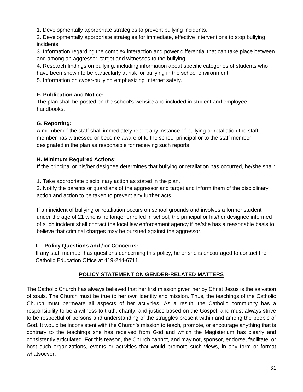1. Developmentally appropriate strategies to prevent bullying incidents.

2. Developmentally appropriate strategies for immediate, effective interventions to stop bullying incidents.

3. Information regarding the complex interaction and power differential that can take place between and among an aggressor, target and witnesses to the bullying.

4. Research findings on bullying, including information about specific categories of students who have been shown to be particularly at risk for bullying in the school environment.

5. Information on cyber-bullying emphasizing Internet safety.

# **F. Publication and Notice:**

The plan shall be posted on the school's website and included in student and employee handbooks.

# **G. Reporting:**

A member of the staff shall immediately report any instance of bullying or retaliation the staff member has witnessed or become aware of to the school principal or to the staff member designated in the plan as responsible for receiving such reports.

# **H. Minimum Required Actions**:

If the principal or his/her designee determines that bullying or retaliation has occurred, he/she shall:

1. Take appropriate disciplinary action as stated in the plan.

2. Notify the parents or guardians of the aggressor and target and inform them of the disciplinary action and action to be taken to prevent any further acts.

If an incident of bullying or retaliation occurs on school grounds and involves a former student under the age of 21 who is no longer enrolled in school, the principal or his/her designee informed of such incident shall contact the local law enforcement agency if he/she has a reasonable basis to believe that criminal charges may be pursued against the aggressor.

# **I. Policy Questions and / or Concerns:**

If any staff member has questions concerning this policy, he or she is encouraged to contact the Catholic Education Office at 419-244-6711.

# **POLICY STATEMENT ON GENDER-RELATED MATTERS**

The Catholic Church has always believed that her first mission given her by Christ Jesus is the salvation of souls. The Church must be true to her own identity and mission. Thus, the teachings of the Catholic Church must permeate all aspects of her activities. As a result, the Catholic community has a responsibility to be a witness to truth, charity, and justice based on the Gospel; and must always strive to be respectful of persons and understanding of the struggles present within and among the people of God. It would be inconsistent with the Church's mission to teach, promote, or encourage anything that is contrary to the teachings she has received from God and which the Magisterium has clearly and consistently articulated. For this reason, the Church cannot, and may not, sponsor, endorse, facilitate, or host such organizations, events or activities that would promote such views, in any form or format whatsoever.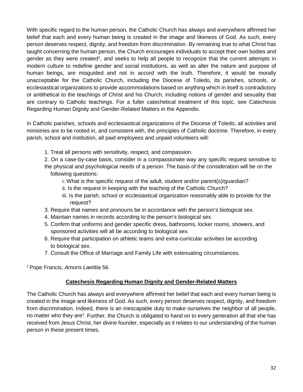With specific regard to the human person, the Catholic Church has always and everywhere affirmed her belief that each and every human being is created in the image and likeness of God. As such, every person deserves respect, dignity, and freedom from discrimination. By remaining true to what Christ has taught concerning the human person, the Church encourages individuals to accept their own bodies and gender as they were created<sup>1</sup>, and seeks to help all people to recognize that the current attempts in modern culture to redefine gender and social institutions, as well as alter the nature and purpose of human beings, are misguided and not in accord with the truth. Therefore, it would be morally unacceptable for the Catholic Church, including the Diocese of Toledo, its parishes, schools, or ecclesiastical organizations to provide accommodations based on anything which in itself is contradictory or antithetical to the teachings of Christ and his Church, including notions of gender and sexuality that are contrary to Catholic teachings. For a fuller catechetical treatment of this topic, see Catechesis Regarding Human Dignity and Gender-Related Matters in the Appendix.

In Catholic parishes, schools and ecclesiastical organizations of the Diocese of Toledo, all activities and ministries are to be rooted in, and consistent with, the principles of Catholic doctrine. Therefore, in every parish, school and institution, all paid employees and unpaid volunteers will:

- 1. Treat all persons with sensitivity, respect, and compassion.
- 2. On a case-by-case basis, consider in a compassionate way any specific request sensitive to the physical and psychological needs of a person. The basis of the consideration will be on the following questions:
	- i. What is the specific request of the adult, student and/or parent(s)/guardian?
	- ii. Is the request in keeping with the teaching of the Catholic Church?
	- iii. Is the parish, school or ecclesiastical organization reasonably able to provide for the request?
- 3. Require that names and pronouns be in accordance with the person's biological sex.
- 4. Maintain names in records according to the person's biological sex.
- 5. Confirm that uniforms and gender specific dress, bathrooms, locker rooms, showers, and sponsored activities will all be according to biological sex.
- 6. Require that participation on athletic teams and extra-curricular activities be according to biological sex.
- 7. Consult the Office of Marriage and Family Life with extenuating circumstances.

1 Pope Francis, *Amoris Laetitia* 56.

# **Catechesis Regarding Human Dignity and Gender-Related Matters**

The Catholic Church has always and everywhere affirmed her belief that each and every human being is created in the image and likeness of God. As such, every person deserves respect, dignity, and freedom from discrimination. Indeed, there is an inescapable duty to make ourselves the neighbor of all people, no matter who they are<sup>1</sup>. Further, the Church is obligated to hand on to every generation all that she has received from Jesus Christ, her divine founder, especially as it relates to our understanding of the human person in these present times.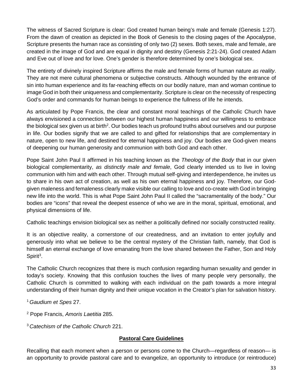The witness of Sacred Scripture is clear: God created human being's male and female (Genesis 1:27). From the dawn of creation as depicted in the Book of Genesis to the closing pages of the Apocalypse, Scripture presents the human race as consisting of only two (2) sexes. Both sexes, male and female, are created in the image of God and are equal in dignity and destiny (Genesis 2:21-24). God created Adam and Eve out of love and for love. One's gender is therefore determined by one's biological sex.

The entirety of divinely inspired Scripture affirms the male and female forms of human nature *as reality*. They are not mere cultural phenomena or subjective constructs. Although wounded by the entrance of sin into human experience and its far-reaching effects on our bodily nature, man and woman continue to image God in both their uniqueness and complementarity. Scripture is clear on the necessity of respecting God's order and commands for human beings to experience the fullness of life he intends.

As articulated by Pope Francis, the clear and constant moral teachings of the Catholic Church have always envisioned a connection between our highest human happiness and our willingness to embrace the biological sex given us at birth<sup>2</sup>. Our bodies teach us profound truths about ourselves and our purpose in life. Our bodies signify that we are called to and gifted for relationships that are complementary in nature, open to new life, and destined for eternal happiness and joy. Our bodies are God-given means of deepening our human generosity and communion with both God and each other.

Pope Saint John Paul II affirmed in his teaching known as the *Theology of the Body* that in our given biological complementarity, *as distinctly male and female*, God clearly intended us to live in loving communion with him and with each other. Through mutual self-giving and interdependence, he invites us to share in his own act of creation, as well as his own eternal happiness and joy. Therefore, our Godgiven maleness and femaleness clearly make visible our calling to love and co-create with God in bringing new life into the world. This is what Pope Saint John Paul II called the "sacramentality of the body." Our bodies are "icons" that reveal the deepest essence of who we are in the moral, spiritual, emotional, and physical dimensions of life.

Catholic teachings envision biological sex as neither a politically defined nor socially constructed reality.

It is an objective reality, a cornerstone of our createdness, and an invitation to enter joyfully and generously into what we believe to be the central mystery of the Christian faith, namely, that God is himself an eternal exchange of love emanating from the love shared between the Father, Son and Holy Spirit<sup>3</sup>.

The Catholic Church recognizes that there is much confusion regarding human sexuality and gender in today's society. Knowing that this confusion touches the lives of many people very personally, the Catholic Church is committed to walking with each individual on the path towards a more integral understanding of their human dignity and their unique vocation in the Creator's plan for salvation history.

<sup>1</sup>*Gaudium et Spes* 27.

<sup>2</sup> Pope Francis, *Amoris Laetitia* 285.

<sup>3</sup>*Catechism of the Catholic Church* 221.

# **Pastoral Care Guidelines**

Recalling that each moment when a person or persons come to the Church—regardless of reason— is an opportunity to provide pastoral care and to evangelize, an opportunity to introduce (or reintroduce)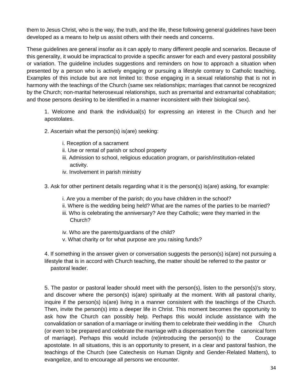them to Jesus Christ, who is the way, the truth, and the life, these following general guidelines have been developed as a means to help us assist others with their needs and concerns.

These guidelines are general insofar as it can apply to many different people and scenarios. Because of this generality, it would be impractical to provide a specific answer for each and every pastoral possibility or variation. The guideline includes suggestions and reminders on how to approach a situation when presented by a person who is actively engaging or pursuing a lifestyle contrary to Catholic teaching. Examples of this include but are not limited to: those engaging in a sexual relationship that is not in harmony with the teachings of the Church (same sex relationships; marriages that cannot be recognized by the Church; non-marital heterosexual relationships, such as premarital and extramarital cohabitation; and those persons desiring to be identified in a manner inconsistent with their biological sex).

1. Welcome and thank the individual(s) for expressing an interest in the Church and her apostolates.

- 2. Ascertain what the person(s) is(are) seeking:
	- i. Reception of a sacrament
	- ii. Use or rental of parish or school property
	- iii. Admission to school, religious education program, or parish/institution-related activity.
	- iv. Involvement in parish ministry
- 3. Ask for other pertinent details regarding what it is the person(s) is(are) asking, for example:
	- i. Are you a member of the parish; do you have children in the school?
	- ii. Where is the wedding being held? What are the names of the parties to be married?
	- iii. Who is celebrating the anniversary? Are they Catholic; were they married in the Church?
	- iv. Who are the parents/guardians of the child?
	- v. What charity or for what purpose are you raising funds?

4. If something in the answer given or conversation suggests the person(s) is(are) not pursuing a lifestyle that is in accord with Church teaching, the matter should be referred to the pastor or pastoral leader.

5. The pastor or pastoral leader should meet with the person(s), listen to the person(s)'s story, and discover where the person(s) is(are) spiritually at the moment. With all pastoral charity, inquire if the person(s) is(are) living in a manner consistent with the teachings of the Church. Then, invite the person(s) into a deeper life in Christ. This moment becomes the opportunity to ask how the Church can possibly help. Perhaps this would include assistance with the convalidation or sanation of a marriage or inviting them to celebrate their wedding in the Church (or even to be prepared and celebrate the marriage with a dispensation from the canonical form of marriage). Perhaps this would include (re)introducing the person(s) to the Courage apostolate. In all situations, this is an opportunity to present, in a clear and pastoral fashion, the teachings of the Church (see Catechesis on Human Dignity and Gender-Related Matters), to evangelize, and to encourage all persons we encounter.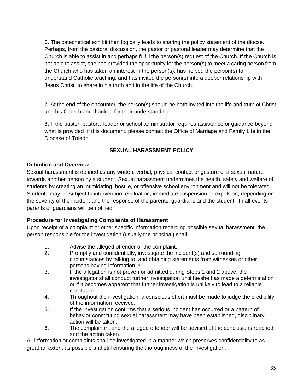6. The catechetical exhibit then logically leads to sharing the policy statement of the diocse. Perhaps, from the pastoral discussion, the pastor or pastoral leader may determine that the Church is able to assist in and perhaps fulfill the person(s) request of the Church. If the Church is not able to assist, she has provided the opportunity for the person(s) to meet a caring person from the Church who has taken an interest in the person(s), has helped the person(s) to understand Catholic teaching, and has invited the person(s) into a deeper relationship with Jesus Christ, to share in his truth and in the life of the Church.

7. At the end of the encounter, the person(s) should be both invited into the life and truth of Christ and his Church and thanked for their understanding.

8. If the pastor, pastoral leader or school administrator requires assistance or guidance beyond what is provided in this document, please contact the Office of Marriage and Family Life in the Diocese of Toledo.

# **SEXUAL HARASSMENT POLICY**

# **Definition and Overview**

Sexual harassment is defined as any written, verbal, physical contact or gesture of a sexual nature towards another person by a student. Sexual harassment undermines the health, safety and welfare of students by creating an intimidating, hostile, or offensive school environment and will not be tolerated. Students may be subject to intervention, evaluation, immediate suspension or expulsion, depending on the severity of the incident and the response of the parents, guardians and the student. In all events parents or guardians will be notified.

# **Procedure for Investigating Complaints of Harassment**

Upon receipt of a complaint or other specific information regarding possible sexual harassment, the person responsible for the investigation (usually the principal) shall:

- 1. Advise the alleged offender of the complaint.<br>2. Promptly and confidentially, investigate the in
- Promptly and confidentially, investigate the incident(s) and surrounding circumstances by talking to, and obtaining statements from witnesses or other persons having information. \*
- 3. If the allegation is not proven or admitted during Steps 1 and 2 above, the investigator shall conduct further investigation until he/she has made a determination or if it becomes apparent that further investigation is unlikely to lead to a reliable conclusion.
- 4. Throughout the investigation, a conscious effort must be made to judge the credibility of the information received.
- 5. If the investigation confirms that a serious incident has occurred or a pattern of behavior constituting sexual harassment may have been established, disciplinary action will be taken.
- 6. The complainant and the alleged offender will be advised of the conclusions reached and the action taken.

All information or complaints shall be investigated in a manner which preserves confidentiality to as great an extent as possible and still ensuring the thoroughness of the investigation.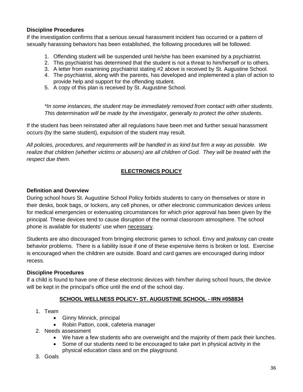# **Discipline Procedures**

If the investigation confirms that a serious sexual harassment incident has occurred or a pattern of sexually harassing behaviors has been established, the following procedures will be followed.

- 1. Offending student will be suspended until he/she has been examined by a psychiatrist.
- 2. This psychiatrist has determined that the student is not a threat to him/herself or to others.
- 3. A letter from examining psychiatrist stating #2 above is received by St. Augustine School.
- 4. The psychiatrist, along with the parents, has developed and implemented a plan of action to provide help and support for the offending student.
- 5. A copy of this plan is received by St. Augustine School.

*\*In some instances, the student may be immediately removed from contact with other students. This determination will be made by the investigator, generally to protect the other students.*

If the student has been reinstated after all regulations have been met and further sexual harassment occurs (by the same student), expulsion of the student may result.

*All policies, procedures, and requirements will be handled in as kind but firm a way as possible. We realize that children (whether victims or abusers) are all children of God. They will be treated with the respect due them.*

# **ELECTRONICS POLICY**

#### **Definition and Overview**

During school hours St. Augustine School Policy forbids students to carry on themselves or store in their desks, book bags, or lockers, any cell phones, or other electronic communication devices unless for medical emergencies or extenuating circumstances for which prior approval has been given by the principal. These devices tend to cause disruption of the normal classroom atmosphere. The school phone is available for students' use when necessary.

Students are also discouraged from bringing electronic games to school. Envy and jealousy can create behavior problems. There is a liability issue if one of these expensive items is broken or lost. Exercise is encouraged when the children are outside. Board and card games are encouraged during indoor recess.

#### **Discipline Procedures**

If a child is found to have one of these electronic devices with him/her during school hours, the device will be kept in the principal's office until the end of the school day.

# **SCHOOL WELLNESS POLICY- ST. AUGUSTINE SCHOOL - IRN #058834**

- 1. Team
	- Ginny Minnick, principal
	- Robin Patton, cook, cafeteria manager
- 2. Needs assessment
	- We have a few students who are overweight and the majority of them pack their lunches.
	- Some of our students need to be encouraged to take part in physical activity in the physical education class and on the playground.
- 3. Goals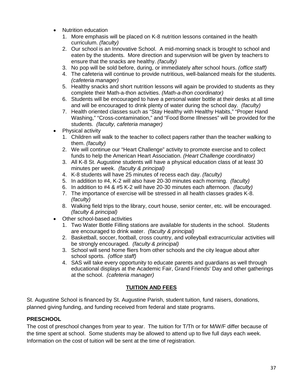- Nutrition education
	- 1. More emphasis will be placed on K-8 nutrition lessons contained in the health curriculum. *(faculty)*
	- 2. Our school is an Innovative School. A mid-morning snack is brought to school and eaten by the students. More direction and supervision will be given by teachers to ensure that the snacks are healthy. *(faculty)*
	- 3. No pop will be sold before, during, or immediately after school hours. *(office staff)*
	- 4. The cafeteria will continue to provide nutritious, well-balanced meals for the students. *(cafeteria manager)*
	- 5. Healthy snacks and short nutrition lessons will again be provided to students as they complete their Math-a-thon activities. *(Math-a-thon coordinator)*
	- 6. Students will be encouraged to have a personal water bottle at their desks at all time and will be encouraged to drink plenty of water during the school day. *(faculty)*
	- 7. Health oriented classes such as "Stay Healthy with Healthy Habits," "Proper Hand Washing," "Cross-contamination," and "Food Borne Illnesses" will be provided for the students. *(faculty, cafeteria manager)*
- Physical activity
	- 1. Children will walk to the teacher to collect papers rather than the teacher walking to them. *(faculty)*
	- 2. We will continue our "Heart Challenge" activity to promote exercise and to collect funds to help the American Heart Association. *(Heart Challenge coordinator)*
	- 3. All K-8 St. Augustine students will have a physical education class of at least 30 minutes per week. *(faculty & principal)*
	- 4. K-8 students will have 25 minutes of recess each day. *(faculty)*
	- 5. In addition to #4, K-2 will also have 20-30 minutes each morning. *(faculty)*
	- 6. In addition to #4 & #5 K-2 will have 20-30 minutes each afternoon. *(faculty)*
	- 7. The importance of exercise will be stressed in all health classes grades K-8. *(faculty)*
	- 8. Walking field trips to the library, court house, senior center, etc. will be encouraged. *(faculty & principal)*
- Other school-based activities
	- 1. Two Water Bottle Filling stations are available for students in the school. Students are encouraged to drink water. *(faculty & principal)*
	- 2. Basketball, soccer, football, cross country, and volleyball extracurricular activities will be strongly encouraged. *(faculty & principal)*
	- 3. School will send home fliers from other schools and the city league about after school sports. *(office staff)*
	- 4. SAS will take every opportunity to educate parents and guardians as well through educational displays at the Academic Fair, Grand Friends' Day and other gatherings at the school. *(cafeteria manager)*

# **TUITION AND FEES**

St. Augustine School is financed by St. Augustine Parish, student tuition, fund raisers, donations, planned giving funding, and funding received from federal and state programs.

# **PRESCHOOL**

The cost of preschool changes from year to year. The tuition for T/Th or for M/W/F differ because of the time spent at school. Some students may be allowed to attend up to five full days each week. Information on the cost of tuition will be sent at the time of registration.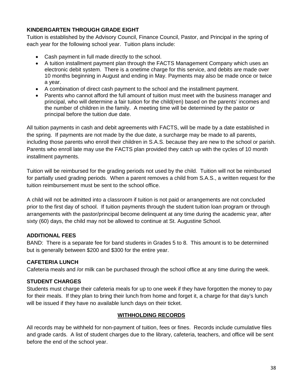# **KINDERGARTEN THROUGH GRADE EIGHT**

Tuition is established by the Advisory Council, Finance Council, Pastor, and Principal in the spring of each year for the following school year. Tuition plans include:

- Cash payment in full made directly to the school.
- A tuition installment payment plan through the FACTS Management Company which uses an electronic debit system. There is a onetime charge for this service, and debits are made over 10 months beginning in August and ending in May. Payments may also be made once or twice a year.
- A combination of direct cash payment to the school and the installment payment.
- Parents who cannot afford the full amount of tuition must meet with the business manager and principal, who will determine a fair tuition for the child(ren) based on the parents' incomes and the number of children in the family. A meeting time will be determined by the pastor or principal before the tuition due date.

All tuition payments in cash and debit agreements with FACTS, will be made by a date established in the spring. If payments are not made by the due date, a surcharge may be made to all parents, including those parents who enroll their children in S.A.S. because they are new to the school or parish. Parents who enroll late may use the FACTS plan provided they catch up with the cycles of 10 month installment payments.

Tuition will be reimbursed for the grading periods not used by the child. Tuition will not be reimbursed for partially used grading periods. When a parent removes a child from S.A.S., a written request for the tuition reimbursement must be sent to the school office.

A child will not be admitted into a classroom if tuition is not paid or arrangements are not concluded prior to the first day of school. If tuition payments through the student tuition loan program or through arrangements with the pastor/principal become delinquent at any time during the academic year, after sixty (60) days, the child may not be allowed to continue at St. Augustine School.

# **ADDITIONAL FEES**

BAND: There is a separate fee for band students in Grades 5 to 8. This amount is to be determined but is generally between \$200 and \$300 for the entire year.

# **CAFETERIA LUNCH**

Cafeteria meals and /or milk can be purchased through the school office at any time during the week.

# **STUDENT CHARGES**

Students must charge their cafeteria meals for up to one week if they have forgotten the money to pay for their meals. If they plan to bring their lunch from home and forget it, a charge for that day's lunch will be issued if they have no available lunch days on their ticket.

# **WITHHOLDING RECORDS**

All records may be withheld for non-payment of tuition, fees or fines. Records include cumulative files and grade cards. A list of student charges due to the library, cafeteria, teachers, and office will be sent before the end of the school year.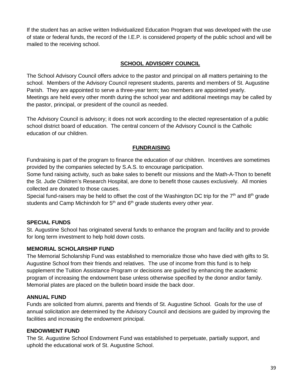If the student has an active written Individualized Education Program that was developed with the use of state or federal funds, the record of the I.E.P. is considered property of the public school and will be mailed to the receiving school.

# **SCHOOL ADVISORY COUNCIL**

The School Advisory Council offers advice to the pastor and principal on all matters pertaining to the school. Members of the Advisory Council represent students, parents and members of St. Augustine Parish. They are appointed to serve a three-year term; two members are appointed yearly. Meetings are held every other month during the school year and additional meetings may be called by the pastor, principal, or president of the council as needed.

The Advisory Council is advisory; it does not work according to the elected representation of a public school district board of education. The central concern of the Advisory Council is the Catholic education of our children.

# **FUNDRAISING**

Fundraising is part of the program to finance the education of our children. Incentives are sometimes provided by the companies selected by S.A.S. to encourage participation.

Some fund raising activity, such as bake sales to benefit our missions and the Math-A-Thon to benefit the St. Jude Children's Research Hospital, are done to benefit those causes exclusively. All monies collected are donated to those causes.

Special fund-raisers may be held to offset the cost of the Washington DC trip for the  $7<sup>th</sup>$  and  $8<sup>th</sup>$  grade students and Camp Michindoh for  $5<sup>th</sup>$  and  $6<sup>th</sup>$  grade students every other year.

# **SPECIAL FUNDS**

St. Augustine School has originated several funds to enhance the program and facility and to provide for long term investment to help hold down costs.

# **MEMORIAL SCHOLARSHIP FUND**

The Memorial Scholarship Fund was established to memorialize those who have died with gifts to St. Augustine School from their friends and relatives. The use of income from this fund is to help supplement the Tuition Assistance Program or decisions are guided by enhancing the academic program of increasing the endowment base unless otherwise specified by the donor and/or family. Memorial plates are placed on the bulletin board inside the back door.

# **ANNUAL FUND**

Funds are solicited from alumni, parents and friends of St. Augustine School. Goals for the use of annual solicitation are determined by the Advisory Council and decisions are guided by improving the facilities and increasing the endowment principal.

# **ENDOWMENT FUND**

The St. Augustine School Endowment Fund was established to perpetuate, partially support, and uphold the educational work of St. Augustine School.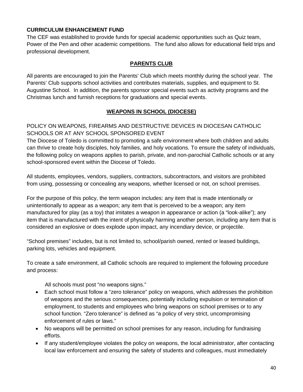# **CURRICULUM ENHANCEMENT FUND**

The CEF was established to provide funds for special academic opportunities such as Quiz team, Power of the Pen and other academic competitions. The fund also allows for educational field trips and professional development.

# **PARENTS CLUB**

All parents are encouraged to join the Parents' Club which meets monthly during the school year. The Parents' Club supports school activities and contributes materials, supplies, and equipment to St. Augustine School. In addition, the parents sponsor special events such as activity programs and the Christmas lunch and furnish receptions for graduations and special events.

# **WEAPONS IN SCHOOL (DIOCESE)**

POLICY ON WEAPONS, FIREARMS AND DESTRUCTIVE DEVICES IN DIOCESAN CATHOLIC SCHOOLS OR AT ANY SCHOOL SPONSORED EVENT

The Diocese of Toledo is committed to promoting a safe environment where both children and adults can thrive to create holy disciples, holy families, and holy vocations. To ensure the safety of individuals, the following policy on weapons applies to parish, private, and non-parochial Catholic schools or at any school-sponsored event within the Diocese of Toledo.

All students, employees, vendors, suppliers, contractors, subcontractors, and visitors are prohibited from using, possessing or concealing any weapons, whether licensed or not, on school premises.

For the purpose of this policy, the term weapon includes: any item that is made intentionally or unintentionally to appear as a weapon; any item that is perceived to be a weapon; any item manufactured for play (as a toy) that imitates a weapon in appearance or action (a "look-alike"); any item that is manufactured with the intent of physically harming another person, including any item that is considered an explosive or does explode upon impact, any incendiary device, or projectile.

"School premises" includes, but is not limited to, school/parish owned, rented or leased buildings, parking lots, vehicles and equipment.

To create a safe environment, all Catholic schools are required to implement the following procedure and process:

All schools must post "no weapons signs."

- Each school must follow a "zero tolerance" policy on weapons, which addresses the prohibition of weapons and the serious consequences, potentially including expulsion or termination of employment, to students and employees who bring weapons on school premises or to any school function. "Zero tolerance" is defined as "a policy of very strict, uncompromising enforcement of rules or laws."
- No weapons will be permitted on school premises for any reason, including for fundraising efforts.
- If any student/employee violates the policy on weapons, the local administrator, after contacting local law enforcement and ensuring the safety of students and colleagues, must immediately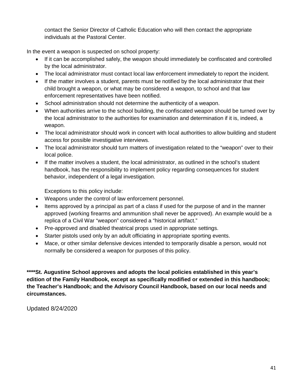contact the Senior Director of Catholic Education who will then contact the appropriate individuals at the Pastoral Center.

In the event a weapon is suspected on school property:

- If it can be accomplished safely, the weapon should immediately be confiscated and controlled by the local administrator.
- The local administrator must contact local law enforcement immediately to report the incident.
- If the matter involves a student, parents must be notified by the local administrator that their child brought a weapon, or what may be considered a weapon, to school and that law enforcement representatives have been notified.
- School administration should not determine the authenticity of a weapon.
- When authorities arrive to the school building, the confiscated weapon should be turned over by the local administrator to the authorities for examination and determination if it is, indeed, a weapon.
- The local administrator should work in concert with local authorities to allow building and student access for possible investigative interviews.
- The local administrator should turn matters of investigation related to the "weapon" over to their local police.
- If the matter involves a student, the local administrator, as outlined in the school's student handbook, has the responsibility to implement policy regarding consequences for student behavior, independent of a legal investigation.

Exceptions to this policy include:

- Weapons under the control of law enforcement personnel.
- Items approved by a principal as part of a class if used for the purpose of and in the manner approved (working firearms and ammunition shall never be approved). An example would be a replica of a Civil War "weapon" considered a "historical artifact."
- Pre-approved and disabled theatrical props used in appropriate settings.
- Starter pistols used only by an adult officiating in appropriate sporting events.
- Mace, or other similar defensive devices intended to temporarily disable a person, would not normally be considered a weapon for purposes of this policy.

**\*\*\*\*St. Augustine School approves and adopts the local policies established in this year's edition of the Family Handbook, except as specifically modified or extended in this handbook; the Teacher's Handbook; and the Advisory Council Handbook, based on our local needs and circumstances.**

Updated 8/24/2020